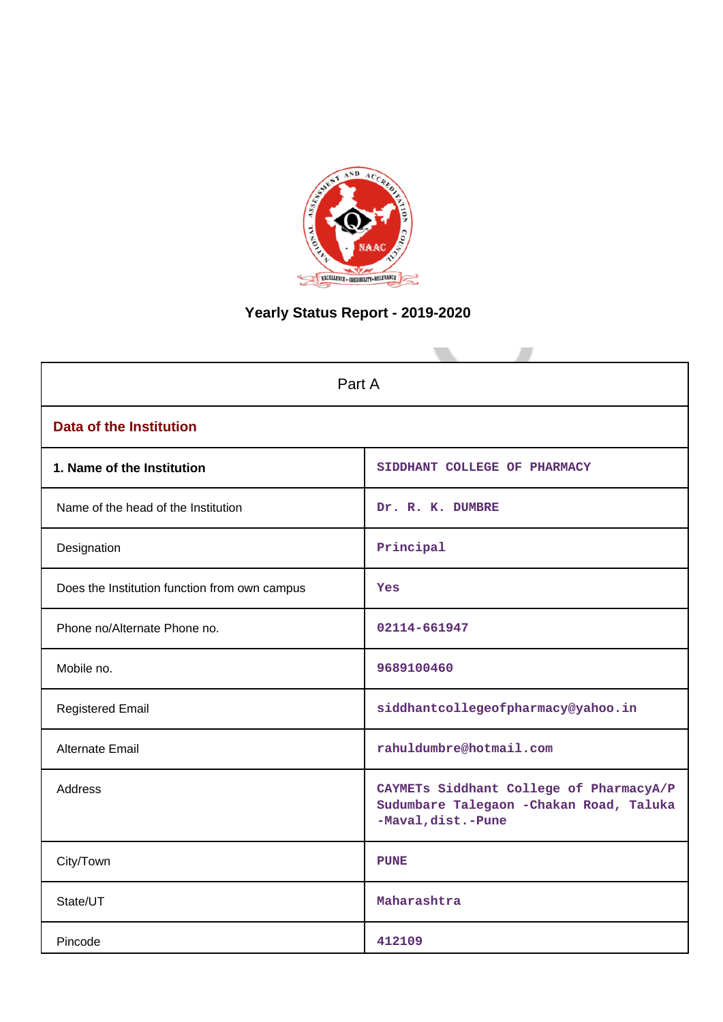

# **Yearly Status Report - 2019-2020**

| Part A                                        |                                                                                                           |  |
|-----------------------------------------------|-----------------------------------------------------------------------------------------------------------|--|
| <b>Data of the Institution</b>                |                                                                                                           |  |
| 1. Name of the Institution                    | SIDDHANT COLLEGE OF PHARMACY                                                                              |  |
| Name of the head of the Institution           | Dr. R. K. DUMBRE                                                                                          |  |
| Designation                                   | Principal                                                                                                 |  |
| Does the Institution function from own campus | Yes                                                                                                       |  |
| Phone no/Alternate Phone no.                  | 02114-661947                                                                                              |  |
| Mobile no.                                    | 9689100460                                                                                                |  |
| <b>Registered Email</b>                       | siddhantcollegeofpharmacy@yahoo.in                                                                        |  |
| Alternate Email                               | rahuldumbre@hotmail.com                                                                                   |  |
| Address                                       | CAYMETs Siddhant College of PharmacyA/P<br>Sudumbare Talegaon - Chakan Road, Taluka<br>-Maval, dist.-Pune |  |
| City/Town                                     | <b>PUNE</b>                                                                                               |  |
| State/UT                                      | Maharashtra                                                                                               |  |
| Pincode                                       | 412109                                                                                                    |  |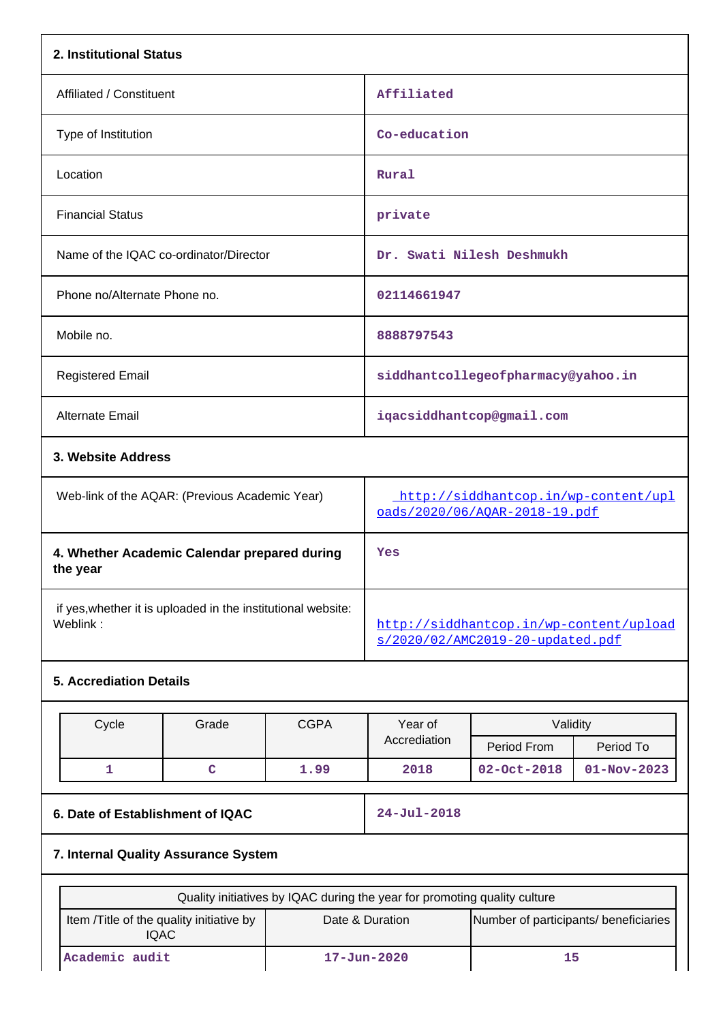| 2. Institutional Status                                                  |                                          |                                                                             |                                                                           |                                       |                   |
|--------------------------------------------------------------------------|------------------------------------------|-----------------------------------------------------------------------------|---------------------------------------------------------------------------|---------------------------------------|-------------------|
| Affiliated / Constituent                                                 |                                          |                                                                             | Affiliated                                                                |                                       |                   |
| Type of Institution                                                      |                                          |                                                                             | Co-education                                                              |                                       |                   |
| Location                                                                 |                                          |                                                                             | Rural                                                                     |                                       |                   |
| <b>Financial Status</b>                                                  |                                          |                                                                             | private                                                                   |                                       |                   |
|                                                                          | Name of the IQAC co-ordinator/Director   |                                                                             |                                                                           | Dr. Swati Nilesh Deshmukh             |                   |
| Phone no/Alternate Phone no.                                             |                                          |                                                                             | 02114661947                                                               |                                       |                   |
| Mobile no.                                                               |                                          |                                                                             | 8888797543                                                                |                                       |                   |
| <b>Registered Email</b>                                                  |                                          |                                                                             |                                                                           | siddhantcollegeofpharmacy@yahoo.in    |                   |
| <b>Alternate Email</b>                                                   |                                          |                                                                             |                                                                           | iqacsiddhantcop@gmail.com             |                   |
| 3. Website Address                                                       |                                          |                                                                             |                                                                           |                                       |                   |
| Web-link of the AQAR: (Previous Academic Year)                           |                                          | http://siddhantcop.in/wp-content/upl<br>oads/2020/06/AQAR-2018-19.pdf       |                                                                           |                                       |                   |
| 4. Whether Academic Calendar prepared during<br>the year                 |                                          | Yes                                                                         |                                                                           |                                       |                   |
| if yes, whether it is uploaded in the institutional website:<br>Weblink: |                                          | http://siddhantcop.in/wp-content/upload<br>s/2020/02/AMC2019-20-updated.pdf |                                                                           |                                       |                   |
| <b>5. Accrediation Details</b>                                           |                                          |                                                                             |                                                                           |                                       |                   |
|                                                                          |                                          | <b>CGPA</b>                                                                 | Year of                                                                   | Validity                              |                   |
| Cycle                                                                    | Grade                                    |                                                                             | Accrediation                                                              | Period From                           | Period To         |
| 1                                                                        | $\mathbf C$                              | 1.99                                                                        | 2018                                                                      | $02 - Oct - 2018$                     | $01 - Nov - 2023$ |
| 6. Date of Establishment of IQAC                                         |                                          |                                                                             | $24 - Jul - 2018$                                                         |                                       |                   |
| 7. Internal Quality Assurance System                                     |                                          |                                                                             |                                                                           |                                       |                   |
|                                                                          |                                          |                                                                             | Quality initiatives by IQAC during the year for promoting quality culture |                                       |                   |
|                                                                          |                                          |                                                                             | Date & Duration                                                           | Number of participants/ beneficiaries |                   |
|                                                                          | Item /Title of the quality initiative by |                                                                             |                                                                           |                                       |                   |

IQAC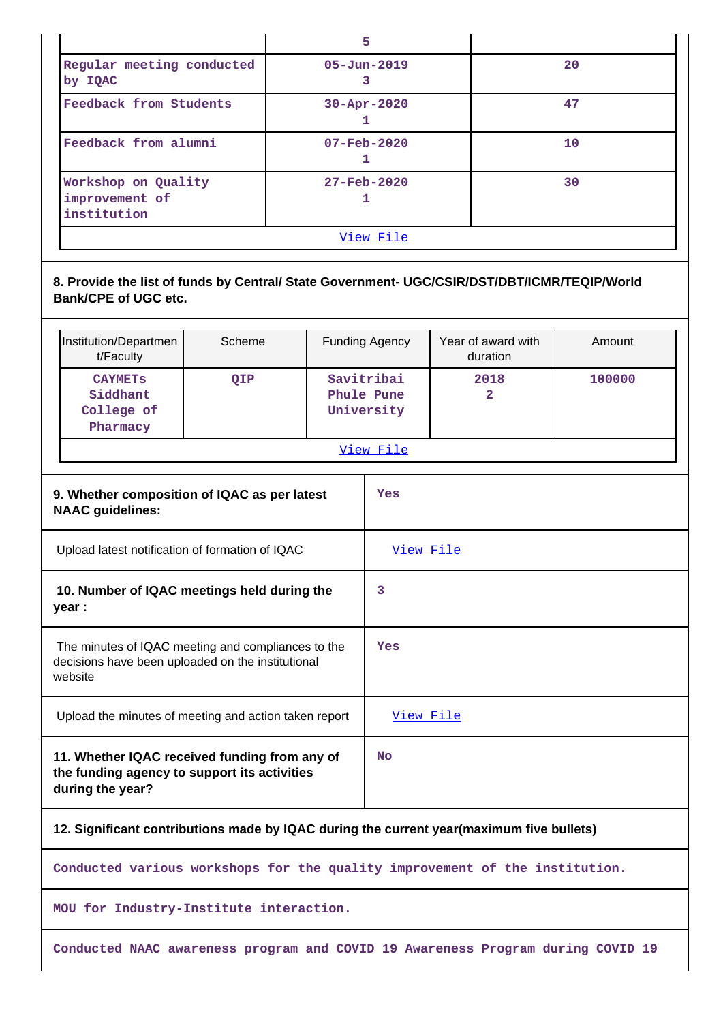|                                                                                                                             |        |   | 5                                      |                                |        |  |
|-----------------------------------------------------------------------------------------------------------------------------|--------|---|----------------------------------------|--------------------------------|--------|--|
| Regular meeting conducted<br>by IQAC                                                                                        |        |   | $05 - Jun - 2019$<br>3                 |                                | 20     |  |
| Feedback from Students                                                                                                      |        |   | 30-Apr-2020<br>1                       |                                | 47     |  |
| Feedback from alumni                                                                                                        |        |   | 07-Feb-2020<br>1                       |                                | 10     |  |
| Workshop on Quality<br>improvement of<br>institution                                                                        |        |   | $27 - \text{Feb} - 2020$<br>1          |                                | 30     |  |
|                                                                                                                             |        |   | View File                              |                                |        |  |
| 8. Provide the list of funds by Central/ State Government- UGC/CSIR/DST/DBT/ICMR/TEQIP/World<br><b>Bank/CPE of UGC etc.</b> |        |   |                                        |                                |        |  |
| Institution/Departmen<br>t/Faculty                                                                                          | Scheme |   | Funding Agency                         | Year of award with<br>duration | Amount |  |
| <b>CAYMETS</b><br>Siddhant<br>College of<br>Pharmacy                                                                        | QIP    |   | Savitribai<br>Phule Pune<br>University | 2018<br>$\overline{2}$         | 100000 |  |
|                                                                                                                             |        |   | View File                              |                                |        |  |
| 9. Whether composition of IQAC as per latest<br><b>NAAC guidelines:</b>                                                     |        |   | Yes                                    |                                |        |  |
| Upload latest notification of formation of IQAC                                                                             |        |   | View File                              |                                |        |  |
| 10. Number of IQAC meetings held during the<br>year :                                                                       |        | 3 |                                        |                                |        |  |
| The minutes of IQAC meeting and compliances to the<br>decisions have been uploaded on the institutional<br>website          |        |   | Yes                                    |                                |        |  |

**11. Whether IQAC received funding from any of the funding agency to support its activities during the year? No**

Upload the minutes of meeting and action taken report [View File](https://assessmentonline.naac.gov.in/public/Postacc/Meeting_minutes/8555_Minutes.pdf)

# **12. Significant contributions made by IQAC during the current year(maximum five bullets)**

**Conducted various workshops for the quality improvement of the institution.**

**MOU for Industry-Institute interaction.**

**Conducted NAAC awareness program and COVID 19 Awareness Program during COVID 19**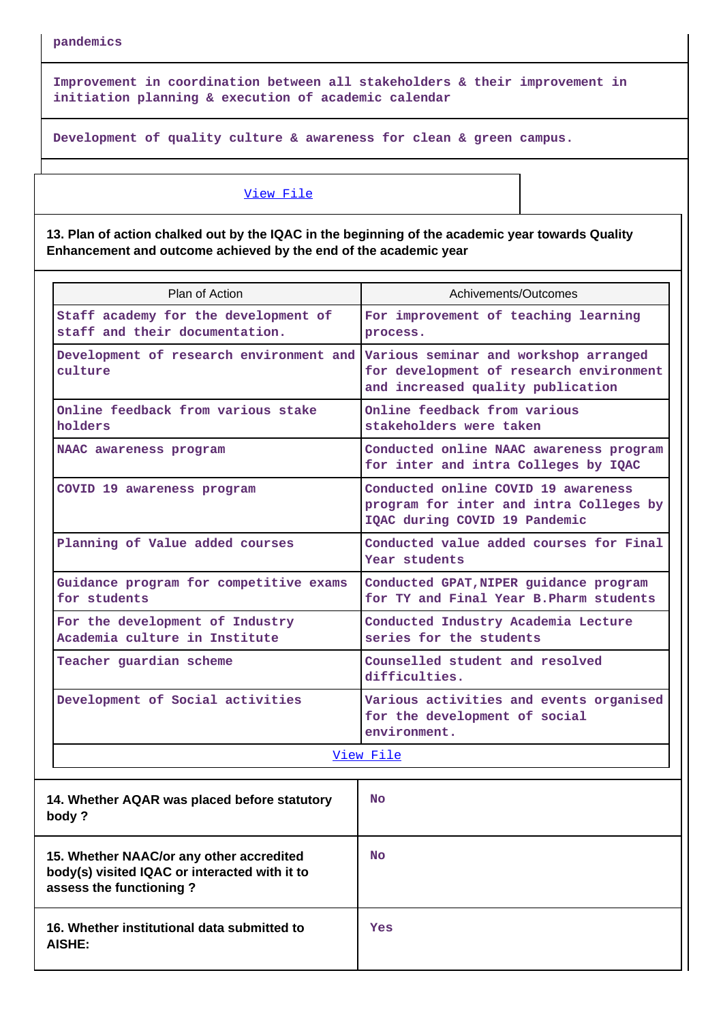**pandemics**

**Improvement in coordination between all stakeholders & their improvement in initiation planning & execution of academic calendar**

**Development of quality culture & awareness for clean & green campus.**

#### [View File](https://assessmentonline.naac.gov.in/public/Postacc/Contribution/8555_Contribution.xlsx)

**13. Plan of action chalked out by the IQAC in the beginning of the academic year towards Quality Enhancement and outcome achieved by the end of the academic year**

| Plan of Action                                                                           | Achivements/Outcomes                                                                                            |
|------------------------------------------------------------------------------------------|-----------------------------------------------------------------------------------------------------------------|
| Staff academy for the development of<br>staff and their documentation.                   | For improvement of teaching learning<br>process.                                                                |
| Development of research environment and Various seminar and workshop arranged<br>culture | for development of research environment<br>and increased quality publication                                    |
| Online feedback from various stake<br>holders                                            | Online feedback from various<br>stakeholders were taken                                                         |
| NAAC awareness program                                                                   | Conducted online NAAC awareness program<br>for inter and intra Colleges by IQAC                                 |
| COVID 19 awareness program                                                               | Conducted online COVID 19 awareness<br>program for inter and intra Colleges by<br>IQAC during COVID 19 Pandemic |
| Planning of Value added courses                                                          | Conducted value added courses for Final<br>Year students                                                        |
| Guidance program for competitive exams<br>for students                                   | Conducted GPAT, NIPER guidance program<br>for TY and Final Year B. Pharm students                               |
| For the development of Industry<br>Academia culture in Institute                         | Conducted Industry Academia Lecture<br>series for the students                                                  |
| Teacher guardian scheme                                                                  | Counselled student and resolved<br>difficulties.                                                                |
| Development of Social activities                                                         | Various activities and events organised<br>for the development of social<br>environment.                        |
|                                                                                          | View File                                                                                                       |

| 14. Whether AQAR was placed before statutory<br>body ?                                                               | <b>No</b> |
|----------------------------------------------------------------------------------------------------------------------|-----------|
| 15. Whether NAAC/or any other accredited<br>body(s) visited IQAC or interacted with it to<br>assess the functioning? | <b>No</b> |
| 16. Whether institutional data submitted to<br>AISHE:                                                                | Yes       |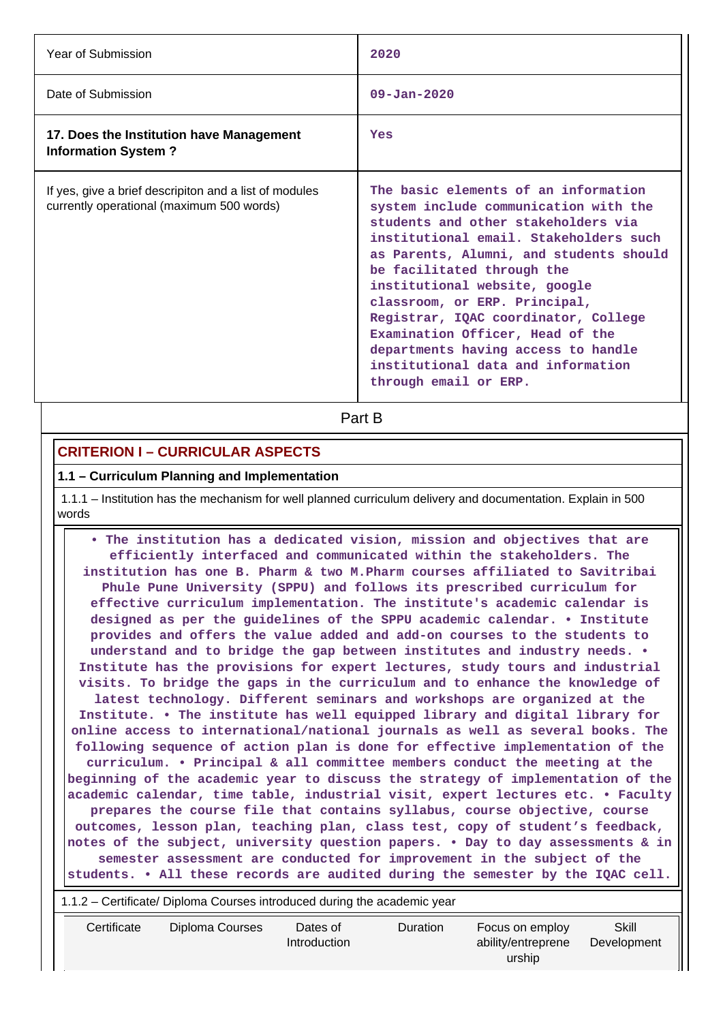| Year of Submission                                                                                  | 2020                                                                                                                                                                                                                                                                                                                                                                                                                                                                                        |
|-----------------------------------------------------------------------------------------------------|---------------------------------------------------------------------------------------------------------------------------------------------------------------------------------------------------------------------------------------------------------------------------------------------------------------------------------------------------------------------------------------------------------------------------------------------------------------------------------------------|
| Date of Submission                                                                                  | $09 - Jan - 2020$                                                                                                                                                                                                                                                                                                                                                                                                                                                                           |
| 17. Does the Institution have Management<br><b>Information System?</b>                              | Yes                                                                                                                                                                                                                                                                                                                                                                                                                                                                                         |
| If yes, give a brief descripiton and a list of modules<br>currently operational (maximum 500 words) | The basic elements of an information<br>system include communication with the<br>students and other stakeholders via<br>institutional email. Stakeholders such<br>as Parents, Alumni, and students should<br>be facilitated through the<br>institutional website, google<br>classroom, or ERP. Principal,<br>Registrar, IQAC coordinator, College<br>Examination Officer, Head of the<br>departments having access to handle<br>institutional data and information<br>through email or ERP. |

**Part B** 

### **CRITERION I – CURRICULAR ASPECTS**

#### **1.1 – Curriculum Planning and Implementation**

 1.1.1 – Institution has the mechanism for well planned curriculum delivery and documentation. Explain in 500 words

 **• The institution has a dedicated vision, mission and objectives that are efficiently interfaced and communicated within the stakeholders. The institution has one B. Pharm & two M.Pharm courses affiliated to Savitribai Phule Pune University (SPPU) and follows its prescribed curriculum for effective curriculum implementation. The institute's academic calendar is designed as per the guidelines of the SPPU academic calendar. • Institute provides and offers the value added and add-on courses to the students to understand and to bridge the gap between institutes and industry needs. • Institute has the provisions for expert lectures, study tours and industrial visits. To bridge the gaps in the curriculum and to enhance the knowledge of latest technology. Different seminars and workshops are organized at the Institute. • The institute has well equipped library and digital library for online access to international/national journals as well as several books. The following sequence of action plan is done for effective implementation of the curriculum. • Principal & all committee members conduct the meeting at the beginning of the academic year to discuss the strategy of implementation of the academic calendar, time table, industrial visit, expert lectures etc. • Faculty prepares the course file that contains syllabus, course objective, course outcomes, lesson plan, teaching plan, class test, copy of student's feedback, notes of the subject, university question papers. • Day to day assessments & in semester assessment are conducted for improvement in the subject of the students. • All these records are audited during the semester by the IQAC cell.**

1.1.2 – Certificate/ Diploma Courses introduced during the academic year

| Certificate | Diploma Courses | Dates of<br>Introduction | <b>Duration</b> | Focus on employ<br>ability/entreprene<br>urship | Skill<br>Development |
|-------------|-----------------|--------------------------|-----------------|-------------------------------------------------|----------------------|
|             |                 |                          |                 |                                                 |                      |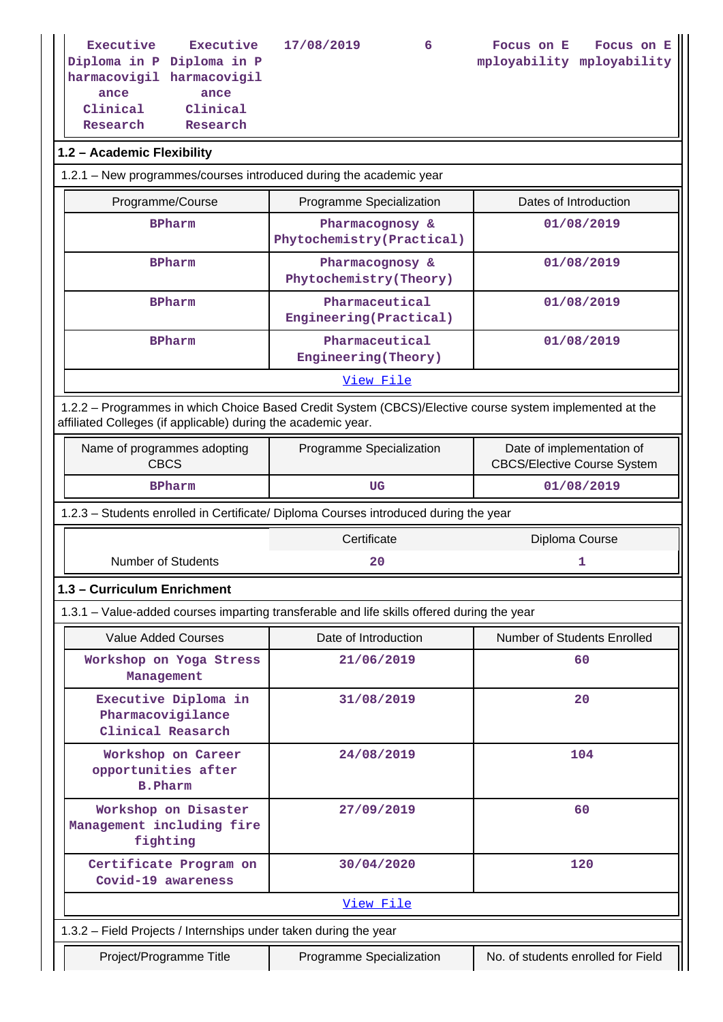**Executive Diploma in P Diploma in P Executive 17/08/2019 6 Focus on E**

**mployability mployability Focus on E**

**harmacovigil harmacovigil ance Clinical Research**

**ance Clinical Research**

### **1.2 – Academic Flexibility**

| 1.2.1 – New programmes/courses introduced during the academic year |                                              |                       |  |
|--------------------------------------------------------------------|----------------------------------------------|-----------------------|--|
| Programme/Course                                                   | Programme Specialization                     | Dates of Introduction |  |
| <b>BPharm</b>                                                      | Pharmacognosy &<br>Phytochemistry(Practical) | 01/08/2019            |  |
| <b>BPharm</b>                                                      | Pharmacognosy &<br>Phytochemistry(Theory)    | 01/08/2019            |  |
| <b>BPharm</b>                                                      | Pharmaceutical<br>Engineering(Practical)     | 01/08/2019            |  |
| <b>BPharm</b>                                                      | Pharmaceutical<br>Engineering (Theory)       | 01/08/2019            |  |
| View File                                                          |                                              |                       |  |

 1.2.2 – Programmes in which Choice Based Credit System (CBCS)/Elective course system implemented at the affiliated Colleges (if applicable) during the academic year.

| Name of programmes adopting<br>CBCS | Programme Specialization | Date of implementation of<br><b>CBCS/Elective Course System</b> |
|-------------------------------------|--------------------------|-----------------------------------------------------------------|
| <b>BPharm</b>                       | UG                       | 01/08/2019                                                      |

1.2.3 – Students enrolled in Certificate/ Diploma Courses introduced during the year

Certificate Diploma Course

Number of Students **20** 1

**1.3 – Curriculum Enrichment**

1.3.1 – Value-added courses imparting transferable and life skills offered during the year

| Value Added Courses                                              | Date of Introduction | Number of Students Enrolled |  |
|------------------------------------------------------------------|----------------------|-----------------------------|--|
| Workshop on Yoga Stress<br>Management                            | 21/06/2019           | 60                          |  |
| Executive Diploma in<br>Pharmacovigilance<br>Clinical Reasarch   | 31/08/2019           | 20                          |  |
| Workshop on Career<br>opportunities after<br><b>B.Pharm</b>      | 24/08/2019           | 104                         |  |
| Workshop on Disaster<br>Management including fire<br>fighting    | 27/09/2019           | 60                          |  |
| Certificate Program on<br>Covid-19 awareness                     | 30/04/2020           | 120                         |  |
| View File                                                        |                      |                             |  |
| 1.3.2 – Field Projects / Internships under taken during the year |                      |                             |  |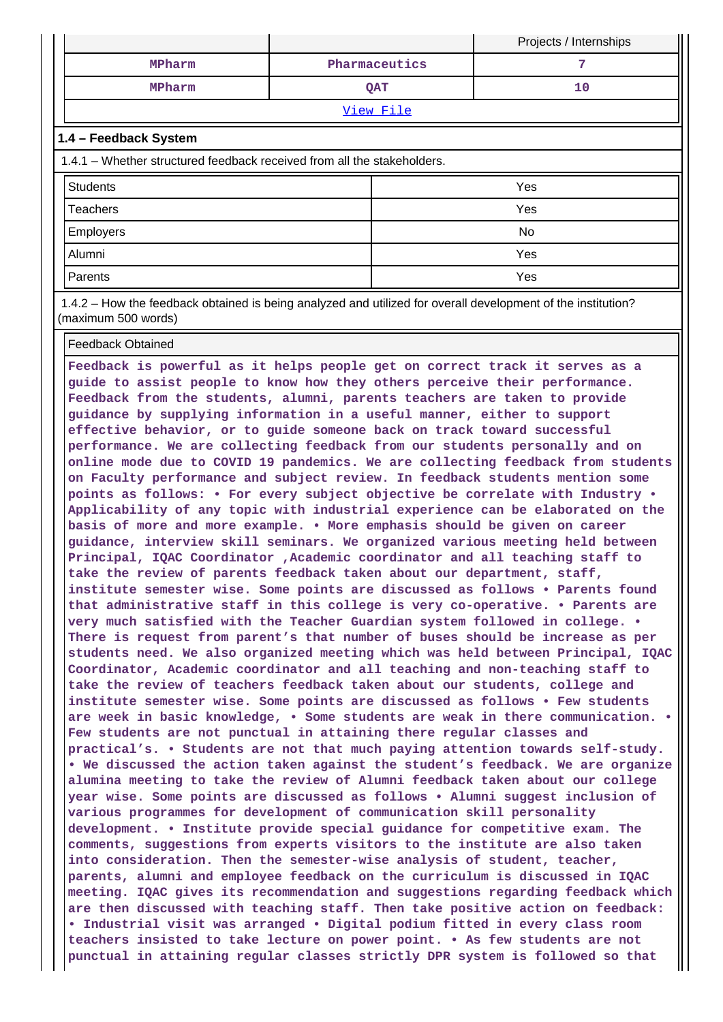|           |               | Projects / Internships |
|-----------|---------------|------------------------|
| MPharm    | Pharmaceutics |                        |
| MPharm    | QAT           | 10                     |
| View File |               |                        |

#### **1.4 – Feedback System**

| 1.4.1 – Whether structured feedback received from all the stakeholders. |     |  |
|-------------------------------------------------------------------------|-----|--|
| <b>Students</b>                                                         | Yes |  |
| <b>Teachers</b>                                                         | Yes |  |
| <b>Employers</b>                                                        | No  |  |
| Alumni                                                                  | Yes |  |
| <b>Parents</b>                                                          | Yes |  |

 1.4.2 – How the feedback obtained is being analyzed and utilized for overall development of the institution? (maximum 500 words)

#### Feedback Obtained

**Feedback is powerful as it helps people get on correct track it serves as a guide to assist people to know how they others perceive their performance. Feedback from the students, alumni, parents teachers are taken to provide guidance by supplying information in a useful manner, either to support effective behavior, or to guide someone back on track toward successful performance. We are collecting feedback from our students personally and on online mode due to COVID 19 pandemics. We are collecting feedback from students on Faculty performance and subject review. In feedback students mention some points as follows: • For every subject objective be correlate with Industry • Applicability of any topic with industrial experience can be elaborated on the basis of more and more example. • More emphasis should be given on career guidance, interview skill seminars. We organized various meeting held between Principal, IQAC Coordinator ,Academic coordinator and all teaching staff to take the review of parents feedback taken about our department, staff, institute semester wise. Some points are discussed as follows • Parents found that administrative staff in this college is very co-operative. • Parents are very much satisfied with the Teacher Guardian system followed in college. • There is request from parent's that number of buses should be increase as per students need. We also organized meeting which was held between Principal, IQAC Coordinator, Academic coordinator and all teaching and non-teaching staff to take the review of teachers feedback taken about our students, college and institute semester wise. Some points are discussed as follows • Few students are week in basic knowledge, • Some students are weak in there communication. • Few students are not punctual in attaining there regular classes and practical's. • Students are not that much paying attention towards self-study. • We discussed the action taken against the student's feedback. We are organize alumina meeting to take the review of Alumni feedback taken about our college year wise. Some points are discussed as follows • Alumni suggest inclusion of various programmes for development of communication skill personality development. • Institute provide special guidance for competitive exam. The comments, suggestions from experts visitors to the institute are also taken into consideration. Then the semester-wise analysis of student, teacher, parents, alumni and employee feedback on the curriculum is discussed in IQAC meeting. IQAC gives its recommendation and suggestions regarding feedback which are then discussed with teaching staff. Then take positive action on feedback: • Industrial visit was arranged • Digital podium fitted in every class room teachers insisted to take lecture on power point. • As few students are not punctual in attaining regular classes strictly DPR system is followed so that**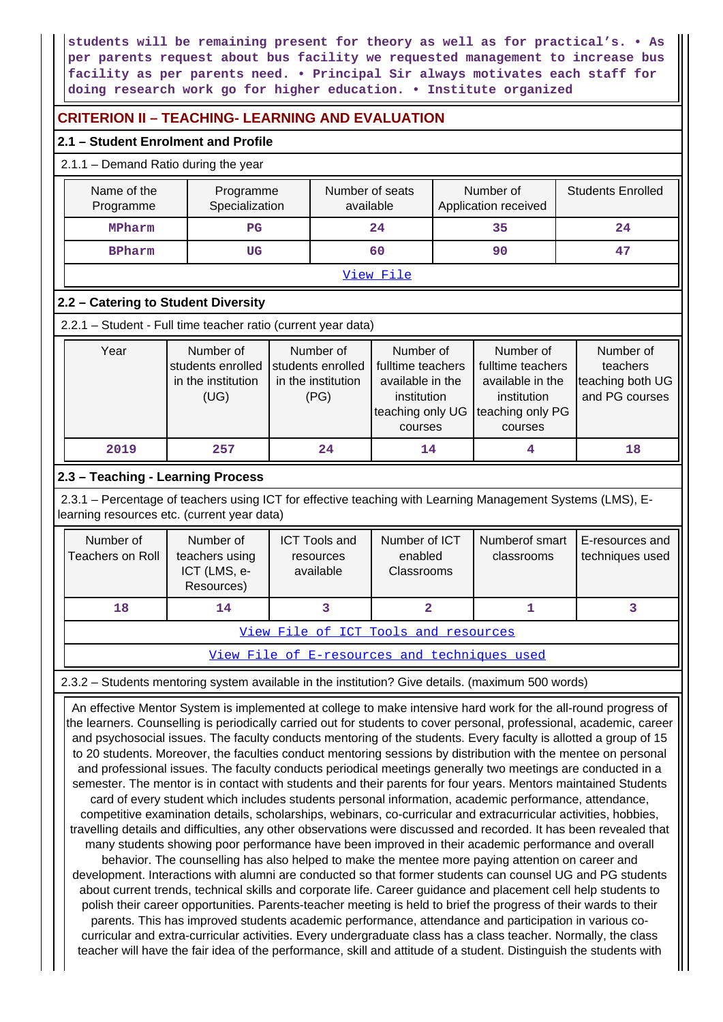**students will be remaining present for theory as well as for practical's. • As per parents request about bus facility we requested management to increase bus facility as per parents need. • Principal Sir always motivates each staff for doing research work go for higher education. • Institute organized**

## **CRITERION II – TEACHING- LEARNING AND EVALUATION**

#### **2.1 – Student Enrolment and Profile**

#### 2.1.1 – Demand Ratio during the year

| Name of the<br>Programme | Programme<br>Specialization | Number of seats<br>available | Number of<br>Application received | <b>Students Enrolled</b> |  |  |
|--------------------------|-----------------------------|------------------------------|-----------------------------------|--------------------------|--|--|
| MPharm                   | PG                          | 24                           | 35                                | 24                       |  |  |
| <b>BPharm</b>            | UG                          | 60                           | 90                                | 47                       |  |  |
| View File                |                             |                              |                                   |                          |  |  |

### **2.2 – Catering to Student Diversity**

2.2.1 – Student - Full time teacher ratio (current year data)

| Year | Number of<br>students enrolled<br>in the institution<br>(UG) | Number of<br>students enrolled<br>in the institution<br>(PG) | Number of<br>fulltime teachers<br>available in the<br>institution<br>teaching only UG teaching only PG<br>courses | Number of<br>fulltime teachers<br>available in the<br>institution<br>courses | Number of<br>teachers<br>teaching both UG<br>and PG courses |
|------|--------------------------------------------------------------|--------------------------------------------------------------|-------------------------------------------------------------------------------------------------------------------|------------------------------------------------------------------------------|-------------------------------------------------------------|
| 2019 | 257                                                          | 24                                                           | 14                                                                                                                |                                                                              | 18                                                          |

### **2.3 – Teaching - Learning Process**

 2.3.1 – Percentage of teachers using ICT for effective teaching with Learning Management Systems (LMS), Elearning resources etc. (current year data)

| Number of<br>Teachers on Roll | Number of<br>teachers using<br>ICT (LMS, e-<br>Resources) | <b>ICT Tools and</b><br>resources<br>available | Number of ICT<br>enabled<br><b>Classrooms</b> | Numberof smart<br>classrooms | E-resources and<br>techniques used |  |
|-------------------------------|-----------------------------------------------------------|------------------------------------------------|-----------------------------------------------|------------------------------|------------------------------------|--|
| 18<br>14                      |                                                           |                                                |                                               |                              |                                    |  |
|                               | View File of ICT Tools and resources                      |                                                |                                               |                              |                                    |  |

[View File of E-resources and techniques used](https://assessmentonline.naac.gov.in/public/Postacc/e_resource/8555_e_resource_1609685813.xls)

### 2.3.2 – Students mentoring system available in the institution? Give details. (maximum 500 words)

 An effective Mentor System is implemented at college to make intensive hard work for the all-round progress of the learners. Counselling is periodically carried out for students to cover personal, professional, academic, career and psychosocial issues. The faculty conducts mentoring of the students. Every faculty is allotted a group of 15 to 20 students. Moreover, the faculties conduct mentoring sessions by distribution with the mentee on personal and professional issues. The faculty conducts periodical meetings generally two meetings are conducted in a semester. The mentor is in contact with students and their parents for four years. Mentors maintained Students card of every student which includes students personal information, academic performance, attendance, competitive examination details, scholarships, webinars, co-curricular and extracurricular activities, hobbies, travelling details and difficulties, any other observations were discussed and recorded. It has been revealed that many students showing poor performance have been improved in their academic performance and overall behavior. The counselling has also helped to make the mentee more paying attention on career and development. Interactions with alumni are conducted so that former students can counsel UG and PG students about current trends, technical skills and corporate life. Career guidance and placement cell help students to polish their career opportunities. Parents-teacher meeting is held to brief the progress of their wards to their parents. This has improved students academic performance, attendance and participation in various cocurricular and extra-curricular activities. Every undergraduate class has a class teacher. Normally, the class teacher will have the fair idea of the performance, skill and attitude of a student. Distinguish the students with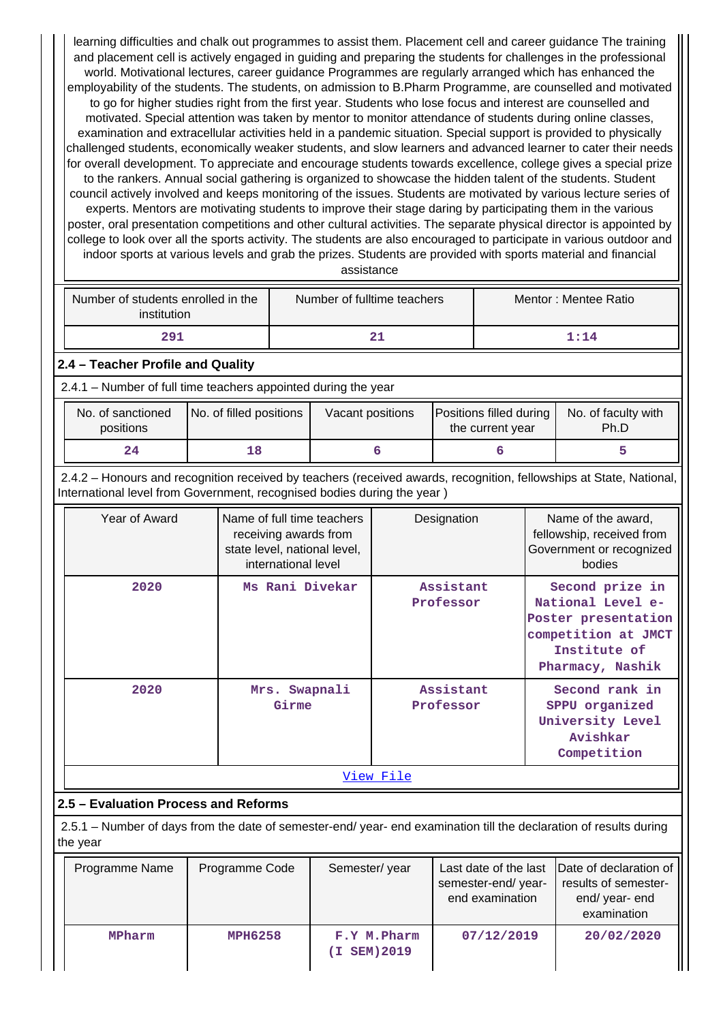learning difficulties and chalk out programmes to assist them. Placement cell and career guidance The training and placement cell is actively engaged in guiding and preparing the students for challenges in the professional world. Motivational lectures, career guidance Programmes are regularly arranged which has enhanced the employability of the students. The students, on admission to B.Pharm Programme, are counselled and motivated to go for higher studies right from the first year. Students who lose focus and interest are counselled and motivated. Special attention was taken by mentor to monitor attendance of students during online classes, examination and extracellular activities held in a pandemic situation. Special support is provided to physically challenged students, economically weaker students, and slow learners and advanced learner to cater their needs for overall development. To appreciate and encourage students towards excellence, college gives a special prize to the rankers. Annual social gathering is organized to showcase the hidden talent of the students. Student council actively involved and keeps monitoring of the issues. Students are motivated by various lecture series of experts. Mentors are motivating students to improve their stage daring by participating them in the various poster, oral presentation competitions and other cultural activities. The separate physical director is appointed by college to look over all the sports activity. The students are also encouraged to participate in various outdoor and indoor sports at various levels and grab the prizes. Students are provided with sports material and financial

|  |  | assistance |  |  |
|--|--|------------|--|--|
|  |  |            |  |  |
|  |  |            |  |  |

| Number of students enrolled in the<br>institution | Number of fulltime teachers | Mentor: Mentee Ratio |
|---------------------------------------------------|-----------------------------|----------------------|
| 291                                               |                             | $1 \cdot 14$         |

**2.4 – Teacher Profile and Quality**

2.4.1 – Number of full time teachers appointed during the year

| No. of sanctioned<br>positions | No. of filled positions | Vacant positions | <b>Positions filled during</b><br>the current year | No. of faculty with<br>Ph.D |
|--------------------------------|-------------------------|------------------|----------------------------------------------------|-----------------------------|
| 24                             |                         |                  |                                                    |                             |

 2.4.2 – Honours and recognition received by teachers (received awards, recognition, fellowships at State, National, International level from Government, recognised bodies during the year )

| Year of Award | Name of full time teachers<br>receiving awards from<br>state level, national level,<br>international level | Designation            | Name of the award,<br>fellowship, received from<br>Government or recognized<br>bodies                                  |  |  |
|---------------|------------------------------------------------------------------------------------------------------------|------------------------|------------------------------------------------------------------------------------------------------------------------|--|--|
| 2020          | Ms Rani Divekar                                                                                            | Assistant<br>Professor | Second prize in<br>National Level e-<br>Poster presentation<br>competition at JMCT<br>Institute of<br>Pharmacy, Nashik |  |  |
| 2020          | Mrs. Swapnali<br>Girme                                                                                     | Assistant<br>Professor | Second rank in<br>SPPU organized<br>University Level<br>Avishkar<br>Competition                                        |  |  |
| View File     |                                                                                                            |                        |                                                                                                                        |  |  |

# **2.5 – Evaluation Process and Reforms**

 2.5.1 – Number of days from the date of semester-end/ year- end examination till the declaration of results during the year

| Programme Name | Programme Code | Semester/year                | semester-end/year-<br>end examination | Last date of the last Date of declaration of<br>results of semester-<br>end/year-end<br>examination |
|----------------|----------------|------------------------------|---------------------------------------|-----------------------------------------------------------------------------------------------------|
| MPharm         | <b>MPH6258</b> | F.Y M. Pharm<br>(I SEM) 2019 | 07/12/2019                            | 20/02/2020                                                                                          |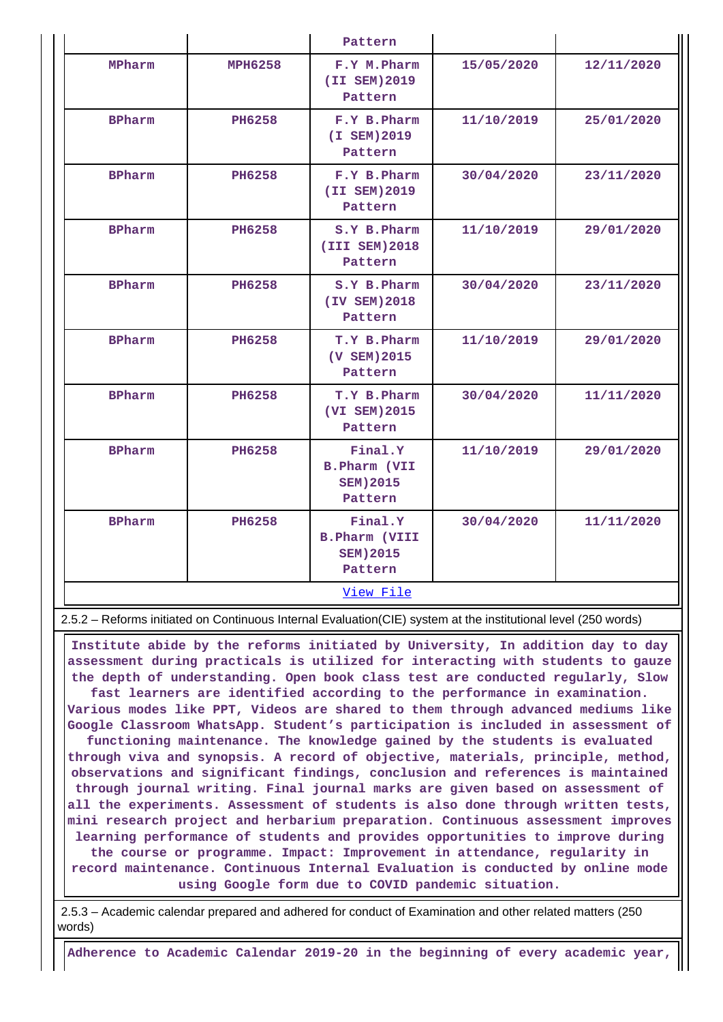|               |                | Pattern                                                        |            |            |  |  |  |  |
|---------------|----------------|----------------------------------------------------------------|------------|------------|--|--|--|--|
| MPharm        | <b>MPH6258</b> | F.Y M. Pharm<br>(II SEM) 2019<br>Pattern                       | 15/05/2020 | 12/11/2020 |  |  |  |  |
| <b>BPharm</b> | <b>PH6258</b>  | F.Y B. Pharm<br>(I SEM) 2019<br>Pattern                        | 11/10/2019 | 25/01/2020 |  |  |  |  |
| <b>BPharm</b> | <b>PH6258</b>  | F.Y B.Pharm<br>(II SEM) 2019<br>Pattern                        | 30/04/2020 | 23/11/2020 |  |  |  |  |
| <b>BPharm</b> | <b>PH6258</b>  | S.Y B.Pharm<br>(III SEM) 2018<br>Pattern                       | 11/10/2019 | 29/01/2020 |  |  |  |  |
| <b>BPharm</b> | <b>PH6258</b>  | S.Y B. Pharm<br>(IV SEM) 2018<br>Pattern                       | 30/04/2020 | 23/11/2020 |  |  |  |  |
| <b>BPharm</b> | <b>PH6258</b>  | T.Y B.Pharm<br>(V SEM) 2015<br>Pattern                         | 11/10/2019 | 29/01/2020 |  |  |  |  |
| <b>BPharm</b> | <b>PH6258</b>  | T.Y B.Pharm<br>(VI SEM) 2015<br>Pattern                        | 30/04/2020 | 11/11/2020 |  |  |  |  |
| <b>BPharm</b> | <b>PH6258</b>  | Final.Y<br><b>B.Pharm (VII</b><br><b>SEM) 2015</b><br>Pattern  | 11/10/2019 | 29/01/2020 |  |  |  |  |
| <b>BPharm</b> | <b>PH6258</b>  | Final.Y<br><b>B.Pharm (VIII</b><br><b>SEM) 2015</b><br>Pattern | 30/04/2020 | 11/11/2020 |  |  |  |  |
|               | View File      |                                                                |            |            |  |  |  |  |

2.5.2 – Reforms initiated on Continuous Internal Evaluation(CIE) system at the institutional level (250 words)

 **Institute abide by the reforms initiated by University, In addition day to day assessment during practicals is utilized for interacting with students to gauze the depth of understanding. Open book class test are conducted regularly, Slow fast learners are identified according to the performance in examination. Various modes like PPT, Videos are shared to them through advanced mediums like Google Classroom WhatsApp. Student's participation is included in assessment of functioning maintenance. The knowledge gained by the students is evaluated through viva and synopsis. A record of objective, materials, principle, method, observations and significant findings, conclusion and references is maintained through journal writing. Final journal marks are given based on assessment of all the experiments. Assessment of students is also done through written tests, mini research project and herbarium preparation. Continuous assessment improves learning performance of students and provides opportunities to improve during the course or programme. Impact: Improvement in attendance, regularity in record maintenance. Continuous Internal Evaluation is conducted by online mode using Google form due to COVID pandemic situation.**

 2.5.3 – Academic calendar prepared and adhered for conduct of Examination and other related matters (250 words)

**Adherence to Academic Calendar 2019-20 in the beginning of every academic year,**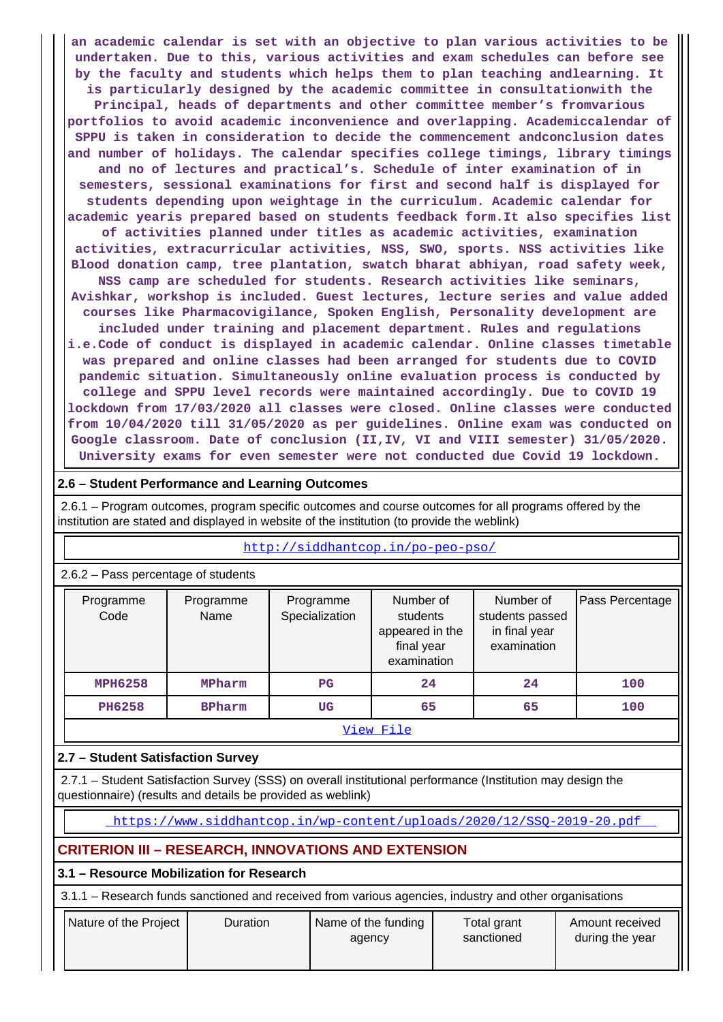**an academic calendar is set with an objective to plan various activities to be undertaken. Due to this, various activities and exam schedules can before see by the faculty and students which helps them to plan teaching andlearning. It is particularly designed by the academic committee in consultationwith the Principal, heads of departments and other committee member's fromvarious portfolios to avoid academic inconvenience and overlapping. Academiccalendar of SPPU is taken in consideration to decide the commencement andconclusion dates and number of holidays. The calendar specifies college timings, library timings and no of lectures and practical's. Schedule of inter examination of in semesters, sessional examinations for first and second half is displayed for students depending upon weightage in the curriculum. Academic calendar for academic yearis prepared based on students feedback form.It also specifies list of activities planned under titles as academic activities, examination activities, extracurricular activities, NSS, SWO, sports. NSS activities like Blood donation camp, tree plantation, swatch bharat abhiyan, road safety week, NSS camp are scheduled for students. Research activities like seminars, Avishkar, workshop is included. Guest lectures, lecture series and value added courses like Pharmacovigilance, Spoken English, Personality development are included under training and placement department. Rules and regulations i.e.Code of conduct is displayed in academic calendar. Online classes timetable was prepared and online classes had been arranged for students due to COVID pandemic situation. Simultaneously online evaluation process is conducted by college and SPPU level records were maintained accordingly. Due to COVID 19 lockdown from 17/03/2020 all classes were closed. Online classes were conducted from 10/04/2020 till 31/05/2020 as per guidelines. Online exam was conducted on Google classroom. Date of conclusion (II,IV, VI and VIII semester) 31/05/2020. University exams for even semester were not conducted due Covid 19 lockdown.**

#### **2.6 – Student Performance and Learning Outcomes**

 2.6.1 – Program outcomes, program specific outcomes and course outcomes for all programs offered by the institution are stated and displayed in website of the institution (to provide the weblink)

| 2.6.2 – Pass percentage of students |                   |                             |                                                                       |                                                              |                 |  |  |
|-------------------------------------|-------------------|-----------------------------|-----------------------------------------------------------------------|--------------------------------------------------------------|-----------------|--|--|
| Programme<br>Code                   | Programme<br>Name | Programme<br>Specialization | Number of<br>students<br>appeared in the<br>final year<br>examination | Number of<br>students passed<br>in final year<br>examination | Pass Percentage |  |  |
| <b>MPH6258</b>                      | MPharm            | $_{\rm PG}$                 | 24                                                                    | 24                                                           | 100             |  |  |
| <b>PH6258</b>                       | <b>BPharm</b>     | UG                          | 65                                                                    | 65                                                           | 100             |  |  |
| View File                           |                   |                             |                                                                       |                                                              |                 |  |  |

#### <http://siddhantcop.in/po-peo-pso/>

#### **2.7 – Student Satisfaction Survey**

 2.7.1 – Student Satisfaction Survey (SSS) on overall institutional performance (Institution may design the questionnaire) (results and details be provided as weblink)

<https://www.siddhantcop.in/wp-content/uploads/2020/12/SSQ-2019-20.pdf>

### **CRITERION III – RESEARCH, INNOVATIONS AND EXTENSION**

**3.1 – Resource Mobilization for Research**

3.1.1 – Research funds sanctioned and received from various agencies, industry and other organisations

| Nature of the Project | Name of the funding | Total grant | Amount received |
|-----------------------|---------------------|-------------|-----------------|
| Duration              | agency              | sanctioned  | during the year |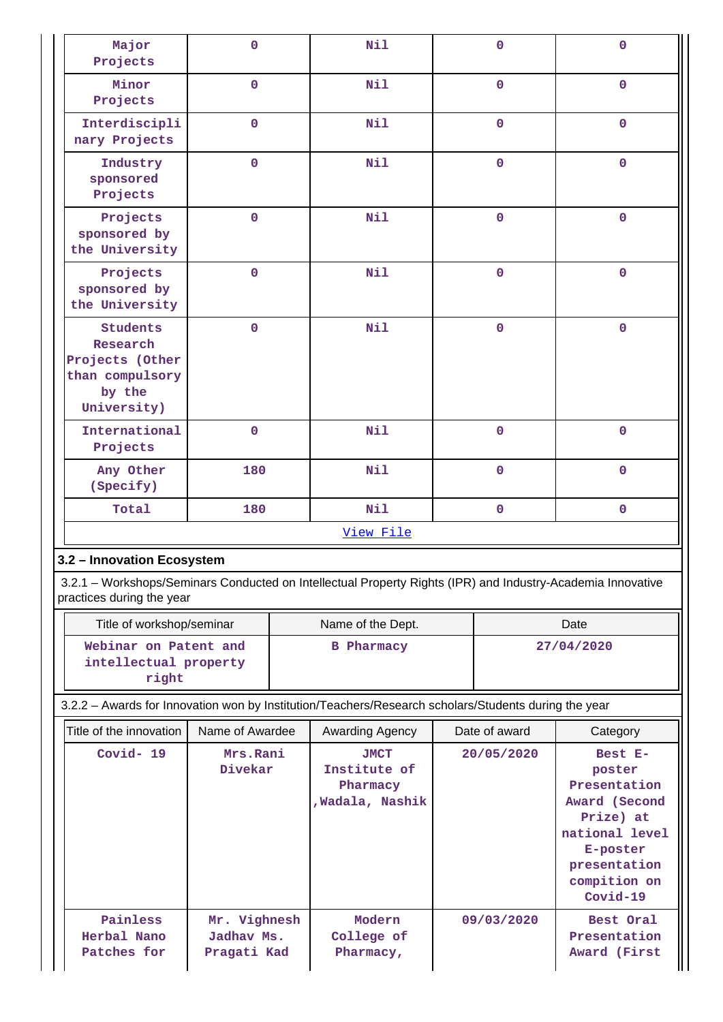| Major<br>Projects                                                                          | $\mathbf 0$                                                                                                                              | Nil                                                                                                  | $\mathbf 0$ | $\mathbf 0$  |  |  |  |
|--------------------------------------------------------------------------------------------|------------------------------------------------------------------------------------------------------------------------------------------|------------------------------------------------------------------------------------------------------|-------------|--------------|--|--|--|
| Minor<br>Projects                                                                          | $\mathbf{O}$                                                                                                                             | Nil                                                                                                  | $\mathbf 0$ | $\mathbf{0}$ |  |  |  |
| Interdiscipli<br>nary Projects                                                             | $\mathbf 0$                                                                                                                              | Nil                                                                                                  | $\mathbf 0$ | $\mathbf{0}$ |  |  |  |
| Industry<br>sponsored<br>Projects                                                          | $\overline{0}$                                                                                                                           | Nil                                                                                                  | $\mathbf 0$ | $\mathbf 0$  |  |  |  |
| Projects<br>sponsored by<br>the University                                                 | $\overline{0}$                                                                                                                           | Nil                                                                                                  | $\mathbf 0$ | $\mathbf 0$  |  |  |  |
| Projects<br>sponsored by<br>the University                                                 | $\mathbf 0$                                                                                                                              | Nil                                                                                                  | $\mathbf 0$ | $\mathbf{0}$ |  |  |  |
| <b>Students</b><br>Research<br>Projects (Other<br>than compulsory<br>by the<br>University) | $\mathbf 0$                                                                                                                              | Nil                                                                                                  | $\mathbf 0$ | $\mathbf 0$  |  |  |  |
| International<br>Projects                                                                  | $\mathbf 0$                                                                                                                              | Nil                                                                                                  | $\mathbf 0$ | $\mathbf 0$  |  |  |  |
| Any Other<br>(Specify)                                                                     | 180                                                                                                                                      | Nil                                                                                                  | $\mathbf 0$ | $\mathbf{0}$ |  |  |  |
| Total                                                                                      | 180                                                                                                                                      | Nil                                                                                                  | $\mathbf 0$ | $\mathbf 0$  |  |  |  |
|                                                                                            |                                                                                                                                          | View File                                                                                            |             |              |  |  |  |
| 3.2 - Innovation Ecosystem                                                                 |                                                                                                                                          |                                                                                                      |             |              |  |  |  |
|                                                                                            | 3.2.1 - Workshops/Seminars Conducted on Intellectual Property Rights (IPR) and Industry-Academia Innovative<br>practices during the year |                                                                                                      |             |              |  |  |  |
|                                                                                            | Title of workshop/seminar<br>Name of the Dept.<br>Date                                                                                   |                                                                                                      |             |              |  |  |  |
| Webinar on Patent and<br>intellectual property<br>right                                    |                                                                                                                                          | <b>B</b> Pharmacy                                                                                    |             | 27/04/2020   |  |  |  |
|                                                                                            |                                                                                                                                          | 3.2.2 - Awards for Innovation won by Institution/Teachers/Research scholars/Students during the year |             |              |  |  |  |

| Title of the innovation                | Name of Awardee                           | Awarding Agency                                             | Date of award | Category                                                                                                                                    |
|----------------------------------------|-------------------------------------------|-------------------------------------------------------------|---------------|---------------------------------------------------------------------------------------------------------------------------------------------|
| $Covid-19$                             | Mrs.Rani<br>Divekar                       | <b>JMCT</b><br>Institute of<br>Pharmacy<br>, Wadala, Nashik | 20/05/2020    | Best E-<br>poster<br>Presentation<br>Award (Second<br>Prize) at<br>national level<br>E-poster<br>presentation<br>compition on<br>$Covid-19$ |
| Painless<br>Herbal Nano<br>Patches for | Mr. Vighnesh<br>Jadhav Ms.<br>Pragati Kad | Modern<br>College of<br>Pharmacy,                           | 09/03/2020    | Best Oral<br>Presentation<br>Award (First                                                                                                   |

П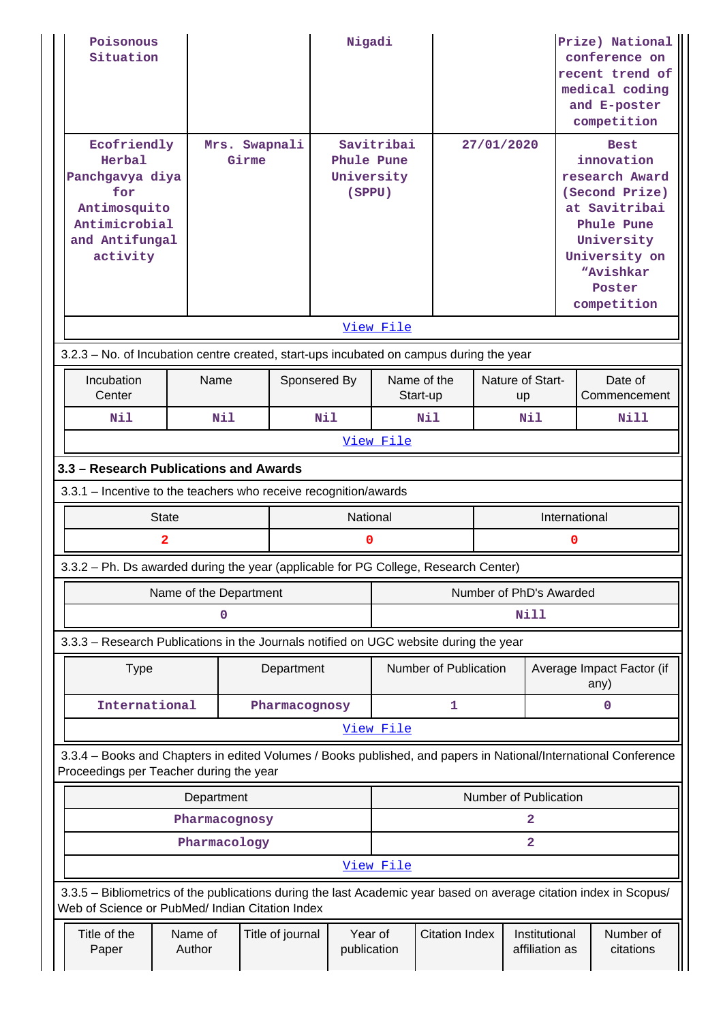| Poisonous<br>Situation<br>Ecofriendly<br>Herbal<br>Panchgavya diya<br>for                                                                                             |                        | Mrs. Swapnali<br>Girme |               | Nigadi<br>Phule Pune<br>University<br>(SPPU) | Savitribai |                         |     | 27/01/2020              |               | Prize) National<br>conference on<br>recent trend of<br>medical coding<br>and E-poster<br>competition<br><b>Best</b><br>innovation<br>research Award<br>(Second Prize) |
|-----------------------------------------------------------------------------------------------------------------------------------------------------------------------|------------------------|------------------------|---------------|----------------------------------------------|------------|-------------------------|-----|-------------------------|---------------|-----------------------------------------------------------------------------------------------------------------------------------------------------------------------|
| Antimosquito<br>Antimicrobial                                                                                                                                         |                        |                        |               |                                              |            |                         |     |                         |               | at Savitribai<br>Phule Pune                                                                                                                                           |
| and Antifungal                                                                                                                                                        |                        |                        |               |                                              |            |                         |     |                         |               | University                                                                                                                                                            |
| activity                                                                                                                                                              |                        |                        |               |                                              |            |                         |     |                         |               | University on<br>"Avishkar                                                                                                                                            |
|                                                                                                                                                                       |                        |                        |               |                                              |            |                         |     |                         |               | Poster<br>competition                                                                                                                                                 |
|                                                                                                                                                                       |                        |                        |               |                                              | View File  |                         |     |                         |               |                                                                                                                                                                       |
| 3.2.3 - No. of Incubation centre created, start-ups incubated on campus during the year                                                                               |                        |                        |               |                                              |            |                         |     |                         |               |                                                                                                                                                                       |
| Incubation<br>Center                                                                                                                                                  | Name                   |                        | Sponsered By  |                                              |            | Name of the<br>Start-up |     | Nature of Start-<br>up  |               | Date of<br>Commencement                                                                                                                                               |
| Nil                                                                                                                                                                   | Nil                    |                        |               | Nil                                          |            | Nil                     | Nil |                         |               | Nill                                                                                                                                                                  |
| View File                                                                                                                                                             |                        |                        |               |                                              |            |                         |     |                         |               |                                                                                                                                                                       |
| 3.3 - Research Publications and Awards                                                                                                                                |                        |                        |               |                                              |            |                         |     |                         |               |                                                                                                                                                                       |
| 3.3.1 - Incentive to the teachers who receive recognition/awards                                                                                                      |                        |                        |               |                                              |            |                         |     |                         |               |                                                                                                                                                                       |
| <b>State</b>                                                                                                                                                          |                        |                        |               | National                                     |            |                         |     |                         | International |                                                                                                                                                                       |
| 2                                                                                                                                                                     |                        |                        |               | 0                                            |            |                         |     |                         | 0             |                                                                                                                                                                       |
| 3.3.2 - Ph. Ds awarded during the year (applicable for PG College, Research Center)                                                                                   |                        |                        |               |                                              |            |                         |     |                         |               |                                                                                                                                                                       |
|                                                                                                                                                                       | Name of the Department |                        |               |                                              |            |                         |     | Number of PhD's Awarded |               |                                                                                                                                                                       |
|                                                                                                                                                                       | 0                      |                        |               |                                              |            |                         |     | Nill                    |               |                                                                                                                                                                       |
| 3.3.3 - Research Publications in the Journals notified on UGC website during the year                                                                                 |                        |                        |               |                                              |            |                         |     |                         |               |                                                                                                                                                                       |
| <b>Type</b>                                                                                                                                                           |                        |                        | Department    |                                              |            | Number of Publication   |     |                         |               | Average Impact Factor (if<br>any)                                                                                                                                     |
| International                                                                                                                                                         |                        |                        | Pharmacognosy |                                              |            | 1                       |     |                         |               | 0                                                                                                                                                                     |
|                                                                                                                                                                       |                        |                        |               |                                              | View File  |                         |     |                         |               |                                                                                                                                                                       |
| 3.3.4 - Books and Chapters in edited Volumes / Books published, and papers in National/International Conference<br>Proceedings per Teacher during the year            |                        |                        |               |                                              |            |                         |     |                         |               |                                                                                                                                                                       |
|                                                                                                                                                                       | Department             |                        |               |                                              |            |                         |     | Number of Publication   |               |                                                                                                                                                                       |
|                                                                                                                                                                       | Pharmacognosy          |                        |               |                                              |            |                         |     | 2                       |               |                                                                                                                                                                       |
|                                                                                                                                                                       | Pharmacology           |                        |               |                                              |            |                         |     | $\overline{\mathbf{2}}$ |               |                                                                                                                                                                       |
| 3.3.5 - Bibliometrics of the publications during the last Academic year based on average citation index in Scopus/<br>Web of Science or PubMed/ Indian Citation Index |                        |                        |               |                                              | View File  |                         |     |                         |               |                                                                                                                                                                       |
|                                                                                                                                                                       |                        |                        |               |                                              |            |                         |     |                         |               |                                                                                                                                                                       |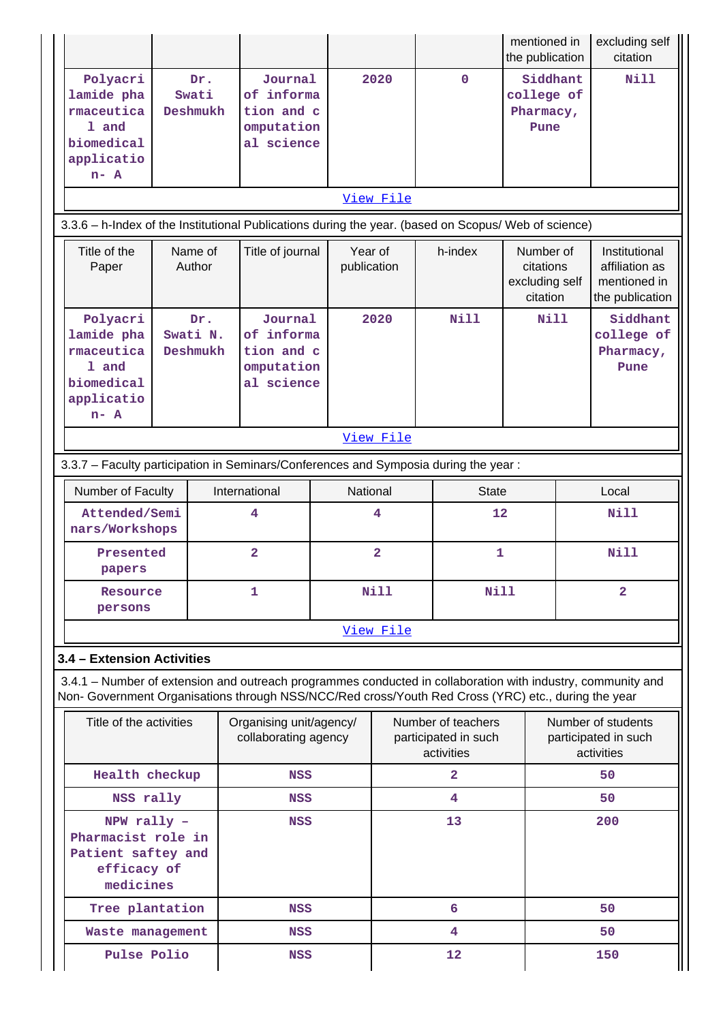|                                                                                                                                                                                                                    |                                                                                                                   |     |                                                                 |             |                         |                                                          | mentioned in<br>the publication                      |                                                          | excluding self<br>citation                                         |  |  |
|--------------------------------------------------------------------------------------------------------------------------------------------------------------------------------------------------------------------|-------------------------------------------------------------------------------------------------------------------|-----|-----------------------------------------------------------------|-------------|-------------------------|----------------------------------------------------------|------------------------------------------------------|----------------------------------------------------------|--------------------------------------------------------------------|--|--|
| Polyacri<br>lamide pha<br>rmaceutica<br>1 and<br>biomedical<br>applicatio<br>$n-$ A                                                                                                                                | Swati<br>Deshmukh                                                                                                 | Dr. | Journal<br>of informa<br>tion and c<br>omputation<br>al science |             | 2020                    | $\mathbf 0$                                              | Siddhant<br>college of<br>Pharmacy,<br>Pune          |                                                          | Nill                                                               |  |  |
|                                                                                                                                                                                                                    | View File<br>3.3.6 - h-Index of the Institutional Publications during the year. (based on Scopus/ Web of science) |     |                                                                 |             |                         |                                                          |                                                      |                                                          |                                                                    |  |  |
|                                                                                                                                                                                                                    |                                                                                                                   |     |                                                                 |             |                         |                                                          |                                                      |                                                          |                                                                    |  |  |
| Title of the<br>Paper                                                                                                                                                                                              | Name of<br>Author                                                                                                 |     | Title of journal                                                |             | Year of<br>publication  | h-index                                                  | Number of<br>citations<br>excluding self<br>citation |                                                          | Institutional<br>affiliation as<br>mentioned in<br>the publication |  |  |
| Polyacri<br>lamide pha<br>rmaceutica<br>1 and<br>biomedical<br>applicatio<br>$n - A$                                                                                                                               | Swati N.<br>Deshmukh                                                                                              | Dr. | Journal<br>of informa<br>tion and c<br>omputation<br>al science |             | 2020                    | Nill                                                     | Nill                                                 |                                                          | Siddhant<br>college of<br>Pharmacy,<br>Pune                        |  |  |
| View File                                                                                                                                                                                                          |                                                                                                                   |     |                                                                 |             |                         |                                                          |                                                      |                                                          |                                                                    |  |  |
| 3.3.7 - Faculty participation in Seminars/Conferences and Symposia during the year:                                                                                                                                |                                                                                                                   |     |                                                                 |             |                         |                                                          |                                                      |                                                          |                                                                    |  |  |
| Number of Faculty                                                                                                                                                                                                  |                                                                                                                   |     | International                                                   |             | National                | <b>State</b>                                             |                                                      |                                                          | Local                                                              |  |  |
| Attended/Semi<br>nars/Workshops                                                                                                                                                                                    |                                                                                                                   |     | 4                                                               | 4           |                         | 12                                                       |                                                      |                                                          | <b>Nill</b>                                                        |  |  |
| Presented<br>papers                                                                                                                                                                                                |                                                                                                                   |     | $\overline{\mathbf{2}}$                                         |             | $\overline{\mathbf{2}}$ | $\mathbf{1}$                                             |                                                      |                                                          | <b>Nill</b>                                                        |  |  |
| Resource<br>persons                                                                                                                                                                                                |                                                                                                                   |     | 1                                                               | <b>Nill</b> |                         | <b>Nill</b>                                              |                                                      | $\overline{\mathbf{2}}$                                  |                                                                    |  |  |
|                                                                                                                                                                                                                    |                                                                                                                   |     |                                                                 |             | View File               |                                                          |                                                      |                                                          |                                                                    |  |  |
| 3.4 - Extension Activities                                                                                                                                                                                         |                                                                                                                   |     |                                                                 |             |                         |                                                          |                                                      |                                                          |                                                                    |  |  |
| 3.4.1 – Number of extension and outreach programmes conducted in collaboration with industry, community and<br>Non- Government Organisations through NSS/NCC/Red cross/Youth Red Cross (YRC) etc., during the year |                                                                                                                   |     |                                                                 |             |                         |                                                          |                                                      |                                                          |                                                                    |  |  |
| Title of the activities                                                                                                                                                                                            |                                                                                                                   |     | Organising unit/agency/<br>collaborating agency                 |             |                         | Number of teachers<br>participated in such<br>activities |                                                      | Number of students<br>participated in such<br>activities |                                                                    |  |  |
| Health checkup                                                                                                                                                                                                     |                                                                                                                   |     | <b>NSS</b>                                                      |             |                         | 2                                                        |                                                      |                                                          | 50                                                                 |  |  |
| NSS rally                                                                                                                                                                                                          |                                                                                                                   |     | <b>NSS</b>                                                      |             |                         | 4                                                        |                                                      |                                                          | 50                                                                 |  |  |
|                                                                                                                                                                                                                    | NPW rally -<br>Pharmacist role in<br>Patient saftey and<br>efficacy of<br>medicines                               |     | <b>NSS</b>                                                      |             |                         | 13                                                       |                                                      |                                                          | 200                                                                |  |  |
| Tree plantation                                                                                                                                                                                                    |                                                                                                                   |     | NSS                                                             |             |                         | 6                                                        |                                                      |                                                          | 50                                                                 |  |  |
| Waste management                                                                                                                                                                                                   |                                                                                                                   |     | <b>NSS</b>                                                      |             |                         | 4                                                        |                                                      |                                                          | 50                                                                 |  |  |
| Pulse Polio                                                                                                                                                                                                        |                                                                                                                   |     | <b>NSS</b>                                                      |             |                         | 12                                                       |                                                      | 150                                                      |                                                                    |  |  |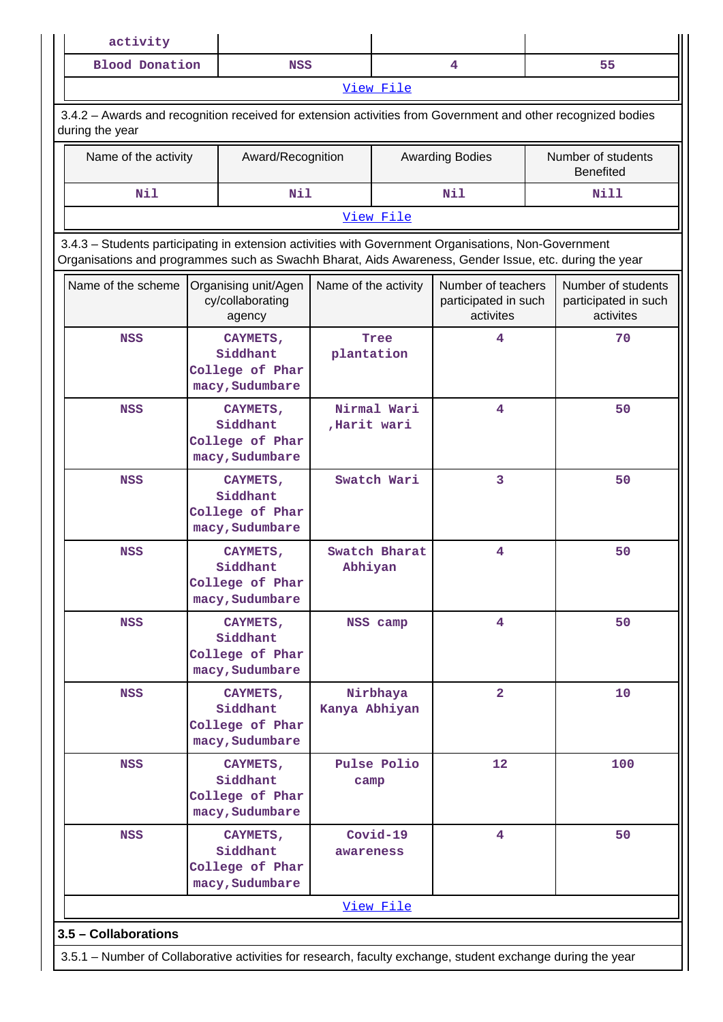| activity              |            |           |    |
|-----------------------|------------|-----------|----|
| <b>Blood Donation</b> | <b>NSS</b> |           | 55 |
|                       |            | View File |    |

 3.4.2 – Awards and recognition received for extension activities from Government and other recognized bodies during the year

| Name of the activity | Award/Recognition | <b>Awarding Bodies</b> | Number of students<br><b>Benefited</b> |  |  |  |  |
|----------------------|-------------------|------------------------|----------------------------------------|--|--|--|--|
| Nil                  | Nil               | Nil                    | Nill                                   |  |  |  |  |
| View File            |                   |                        |                                        |  |  |  |  |

 3.4.3 – Students participating in extension activities with Government Organisations, Non-Government Organisations and programmes such as Swachh Bharat, Aids Awareness, Gender Issue, etc. during the year

| Name of the scheme                                                                                          | Organising unit/Agen<br>cy/collaborating<br>agency         | Name of the activity       | Number of teachers<br>participated in such<br>activites | Number of students<br>participated in such<br>activites |
|-------------------------------------------------------------------------------------------------------------|------------------------------------------------------------|----------------------------|---------------------------------------------------------|---------------------------------------------------------|
| <b>NSS</b>                                                                                                  | CAYMETS,<br>Siddhant<br>College of Phar<br>macy, Sudumbare | <b>Tree</b><br>plantation  | 4                                                       | 70                                                      |
| <b>NSS</b>                                                                                                  | CAYMETS,<br>Siddhant<br>College of Phar<br>macy, Sudumbare | Nirmal Wari<br>Harit wari, | 4                                                       | 50                                                      |
| <b>NSS</b>                                                                                                  | CAYMETS,<br>Siddhant<br>College of Phar<br>macy, Sudumbare | Swatch Wari                | 3                                                       | 50                                                      |
| <b>NSS</b>                                                                                                  | CAYMETS,<br>Siddhant<br>College of Phar<br>macy, Sudumbare | Swatch Bharat<br>Abhiyan   | 4                                                       | 50                                                      |
| <b>NSS</b>                                                                                                  | CAYMETS,<br>Siddhant<br>College of Phar<br>macy, Sudumbare | NSS camp                   | 4                                                       | 50                                                      |
| <b>NSS</b>                                                                                                  | CAYMETS,<br>Siddhant<br>College of Phar<br>macy, Sudumbare | Nirbhaya<br>Kanya Abhiyan  | $\overline{2}$                                          | 10                                                      |
| <b>NSS</b>                                                                                                  | CAYMETS,<br>Siddhant<br>College of Phar<br>macy, Sudumbare | Pulse Polio<br>camp        | 12                                                      | 100                                                     |
| <b>NSS</b>                                                                                                  | CAYMETS,<br>Siddhant<br>College of Phar<br>macy, Sudumbare | Covid-19<br>awareness      | 4                                                       | 50                                                      |
|                                                                                                             |                                                            | View File                  |                                                         |                                                         |
| 3.5 - Collaborations                                                                                        |                                                            |                            |                                                         |                                                         |
| 3.5.1 - Number of Collaborative activities for research, faculty exchange, student exchange during the year |                                                            |                            |                                                         |                                                         |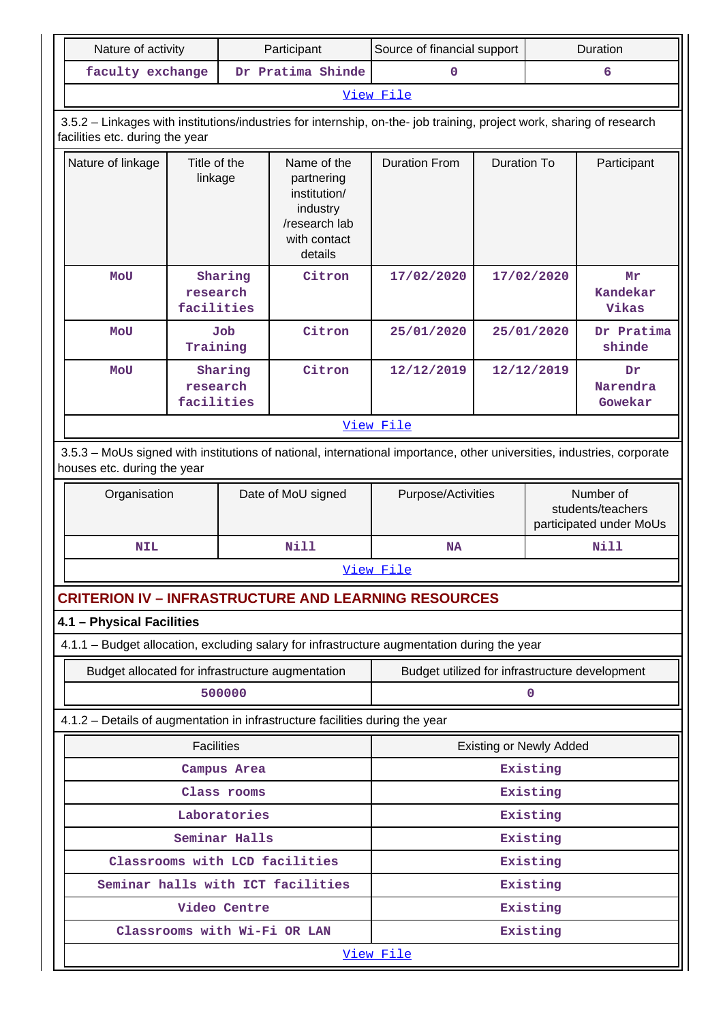| Nature of activity                                                                                                                                       |                         |               | Participant                                                                                       | Source of financial support                    |                    |                                                           | Duration                  |  |  |
|----------------------------------------------------------------------------------------------------------------------------------------------------------|-------------------------|---------------|---------------------------------------------------------------------------------------------------|------------------------------------------------|--------------------|-----------------------------------------------------------|---------------------------|--|--|
| faculty exchange                                                                                                                                         |                         |               | Dr Pratima Shinde                                                                                 | $\mathbf 0$                                    |                    |                                                           | 6                         |  |  |
|                                                                                                                                                          |                         |               |                                                                                                   | View File                                      |                    |                                                           |                           |  |  |
| 3.5.2 - Linkages with institutions/industries for internship, on-the- job training, project work, sharing of research<br>facilities etc. during the year |                         |               |                                                                                                   |                                                |                    |                                                           |                           |  |  |
| Nature of linkage                                                                                                                                        | Title of the<br>linkage |               | Name of the<br>partnering<br>institution/<br>industry<br>/research lab<br>with contact<br>details | <b>Duration From</b>                           | <b>Duration To</b> |                                                           | Participant               |  |  |
| <b>MOU</b>                                                                                                                                               | research<br>facilities  | Sharing       | Citron                                                                                            | 17/02/2020                                     |                    | 17/02/2020                                                | Mr<br>Kandekar<br>Vikas   |  |  |
| MOU                                                                                                                                                      | Training                | Job           | Citron                                                                                            | 25/01/2020                                     |                    | 25/01/2020                                                | Dr Pratima<br>shinde      |  |  |
| <b>MOU</b>                                                                                                                                               | research<br>facilities  | Sharing       | Citron                                                                                            | 12/12/2019                                     |                    | 12/12/2019                                                | Dr<br>Narendra<br>Gowekar |  |  |
|                                                                                                                                                          | View File               |               |                                                                                                   |                                                |                    |                                                           |                           |  |  |
| 3.5.3 - MoUs signed with institutions of national, international importance, other universities, industries, corporate<br>houses etc. during the year    |                         |               |                                                                                                   |                                                |                    |                                                           |                           |  |  |
|                                                                                                                                                          | Organisation            |               | Date of MoU signed                                                                                | Purpose/Activities                             |                    | Number of<br>students/teachers<br>participated under MoUs |                           |  |  |
| <b>NIL</b>                                                                                                                                               |                         |               | <b>Nill</b>                                                                                       | <b>NA</b>                                      |                    |                                                           | Nill                      |  |  |
|                                                                                                                                                          |                         |               |                                                                                                   | View File                                      |                    |                                                           |                           |  |  |
| <b>CRITERION IV – INFRASTRUCTURE AND LEARNING RESOURCES</b>                                                                                              |                         |               |                                                                                                   |                                                |                    |                                                           |                           |  |  |
| 4.1 - Physical Facilities                                                                                                                                |                         |               |                                                                                                   |                                                |                    |                                                           |                           |  |  |
| 4.1.1 - Budget allocation, excluding salary for infrastructure augmentation during the year                                                              |                         |               |                                                                                                   |                                                |                    |                                                           |                           |  |  |
| Budget allocated for infrastructure augmentation                                                                                                         |                         |               |                                                                                                   | Budget utilized for infrastructure development |                    |                                                           |                           |  |  |
|                                                                                                                                                          |                         | 500000        |                                                                                                   |                                                |                    | 0                                                         |                           |  |  |
| 4.1.2 - Details of augmentation in infrastructure facilities during the year                                                                             |                         |               |                                                                                                   |                                                |                    |                                                           |                           |  |  |
|                                                                                                                                                          | <b>Facilities</b>       |               |                                                                                                   |                                                |                    | <b>Existing or Newly Added</b>                            |                           |  |  |
|                                                                                                                                                          |                         | Campus Area   |                                                                                                   |                                                |                    | Existing                                                  |                           |  |  |
|                                                                                                                                                          |                         | Class rooms   |                                                                                                   |                                                |                    | Existing                                                  |                           |  |  |
|                                                                                                                                                          |                         | Laboratories  |                                                                                                   |                                                |                    | Existing                                                  |                           |  |  |
|                                                                                                                                                          |                         | Seminar Halls |                                                                                                   |                                                |                    | Existing                                                  |                           |  |  |
|                                                                                                                                                          |                         |               | Classrooms with LCD facilities                                                                    |                                                |                    | Existing                                                  |                           |  |  |
|                                                                                                                                                          |                         | Video Centre  | Seminar halls with ICT facilities                                                                 | Existing<br>Existing                           |                    |                                                           |                           |  |  |
|                                                                                                                                                          |                         |               | Classrooms with Wi-Fi OR LAN                                                                      |                                                |                    | Existing                                                  |                           |  |  |
|                                                                                                                                                          |                         |               |                                                                                                   | View File                                      |                    |                                                           |                           |  |  |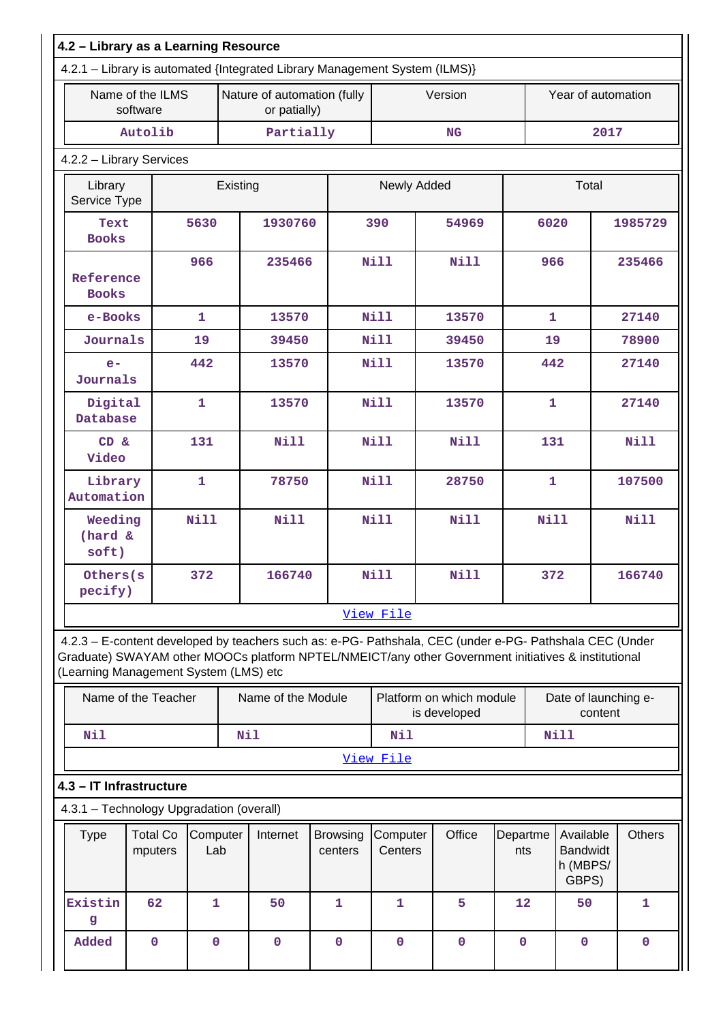| 4.2.1 - Library is automated {Integrated Library Management System (ILMS)} |                              |                 |            |                                             |                            |                     |                                          |                 |                                                                                                                                                                                                                |         |
|----------------------------------------------------------------------------|------------------------------|-----------------|------------|---------------------------------------------|----------------------------|---------------------|------------------------------------------|-----------------|----------------------------------------------------------------------------------------------------------------------------------------------------------------------------------------------------------------|---------|
|                                                                            | Name of the ILMS<br>software |                 |            | Nature of automation (fully<br>or patially) |                            |                     | Version                                  |                 | Year of automation                                                                                                                                                                                             |         |
|                                                                            | Autolib                      |                 |            | Partially                                   |                            |                     | NG                                       |                 | 2017                                                                                                                                                                                                           |         |
| 4.2.2 - Library Services                                                   |                              |                 |            |                                             |                            |                     |                                          |                 |                                                                                                                                                                                                                |         |
| Library<br>Service Type                                                    |                              |                 | Existing   |                                             |                            | Newly Added         |                                          |                 | Total                                                                                                                                                                                                          |         |
| Text<br><b>Books</b>                                                       |                              | 5630            |            | 1930760                                     |                            | 390                 | 54969                                    | 6020            |                                                                                                                                                                                                                | 1985729 |
| Reference<br><b>Books</b>                                                  |                              | 966             |            | 235466                                      |                            | <b>Nill</b>         | <b>Nill</b>                              | 966             |                                                                                                                                                                                                                | 235466  |
| e-Books                                                                    |                              | $\mathbf{1}$    |            | 13570                                       |                            | <b>Nill</b>         | 13570                                    |                 | $\mathbf{1}$                                                                                                                                                                                                   | 27140   |
| Journals                                                                   |                              | 19              |            | 39450                                       |                            | Nill                | 39450                                    | 19              |                                                                                                                                                                                                                | 78900   |
| $e-$<br>Journals                                                           |                              | 442             |            | 13570                                       |                            | Nill                | 13570                                    | 442             |                                                                                                                                                                                                                | 27140   |
| Digital<br>Database                                                        |                              | $\mathbf{1}$    |            | 13570                                       |                            | <b>Nill</b>         | 13570                                    | $\mathbf{1}$    |                                                                                                                                                                                                                | 27140   |
| $CD \&$<br>Video                                                           |                              | 131             |            | <b>Nill</b>                                 | Nill                       |                     | <b>Nill</b>                              | 131             |                                                                                                                                                                                                                | Nill    |
| Library<br>Automation                                                      |                              | $\mathbf{1}$    |            | 78750                                       |                            | <b>Nill</b>         | 28750                                    | $\mathbf{1}$    |                                                                                                                                                                                                                | 107500  |
| Weeding<br>(hard &<br>soft)                                                |                              | <b>Nill</b>     |            | <b>Nill</b>                                 |                            | <b>Nill</b>         | <b>Nill</b>                              | <b>Nill</b>     |                                                                                                                                                                                                                | Nill    |
| Others(s<br>pecify)                                                        |                              | 372             |            | 166740                                      |                            | <b>Nill</b>         | <b>Nill</b>                              |                 | 372                                                                                                                                                                                                            | 166740  |
|                                                                            |                              |                 |            |                                             |                            | View File           |                                          |                 |                                                                                                                                                                                                                |         |
| (Learning Management System (LMS) etc                                      |                              |                 |            |                                             |                            |                     |                                          |                 | 4.2.3 - E-content developed by teachers such as: e-PG- Pathshala, CEC (under e-PG- Pathshala CEC (Under<br>Graduate) SWAYAM other MOOCs platform NPTEL/NMEICT/any other Government initiatives & institutional |         |
|                                                                            | Name of the Teacher          |                 |            | Name of the Module                          |                            |                     | Platform on which module<br>is developed |                 | Date of launching e-<br>content                                                                                                                                                                                |         |
| <b>Nil</b>                                                                 |                              |                 | <b>Nil</b> |                                             |                            | <b>Nil</b>          |                                          |                 | <b>Nill</b>                                                                                                                                                                                                    |         |
|                                                                            |                              |                 |            |                                             |                            | View File           |                                          |                 |                                                                                                                                                                                                                |         |
| 4.3 - IT Infrastructure                                                    |                              |                 |            |                                             |                            |                     |                                          |                 |                                                                                                                                                                                                                |         |
| 4.3.1 - Technology Upgradation (overall)                                   |                              |                 |            |                                             |                            |                     |                                          |                 |                                                                                                                                                                                                                |         |
| <b>Type</b>                                                                | <b>Total Co</b><br>mputers   | Computer<br>Lab |            | Internet                                    | <b>Browsing</b><br>centers | Computer<br>Centers | Office                                   | Departme<br>nts | Available<br><b>Bandwidt</b><br>h (MBPS/<br>GBPS)                                                                                                                                                              | Others  |
| Existin                                                                    | 62                           | $\mathbf{1}$    |            | 50                                          | 1                          | 1                   | 5                                        | 12              | 50                                                                                                                                                                                                             | 1       |

**Added 0 0 0 0 0 0 0 0 0**

**g**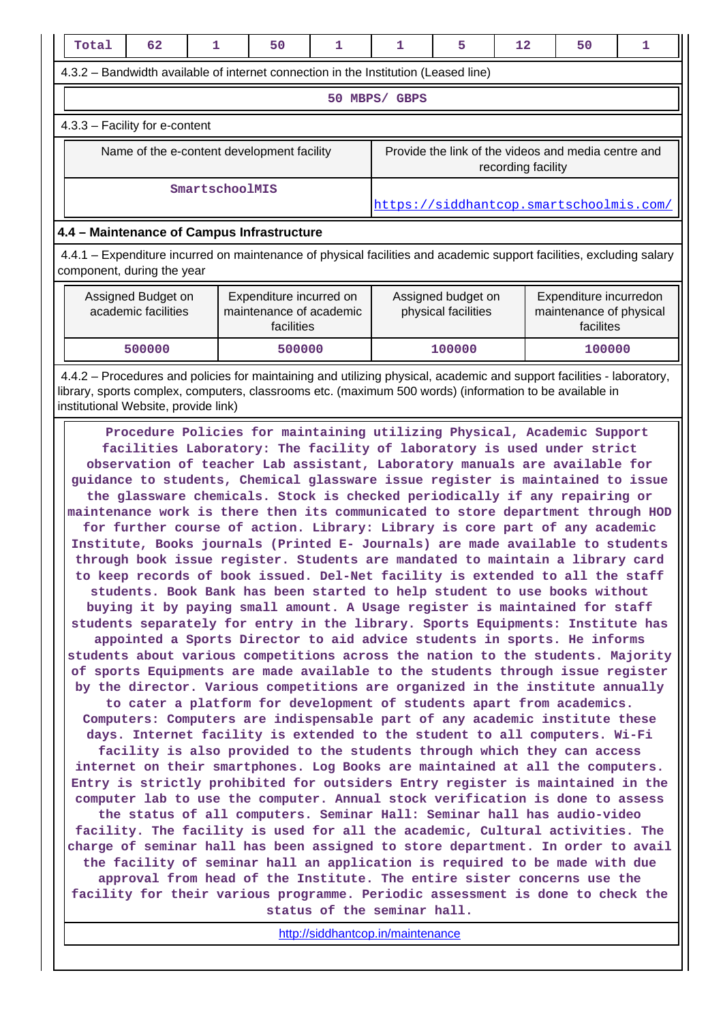| Total                                                                                                                                              | 62                                   | 1              | 50                                                                                                                                                                                                                                                                                                                                                                                                                                                                                                                                                                                                                                                                                                                                                                                                                                                                                                                                                                               | 1                                         | 1             | 5                | 12                                                             | 50                                                  | 1 |
|----------------------------------------------------------------------------------------------------------------------------------------------------|--------------------------------------|----------------|----------------------------------------------------------------------------------------------------------------------------------------------------------------------------------------------------------------------------------------------------------------------------------------------------------------------------------------------------------------------------------------------------------------------------------------------------------------------------------------------------------------------------------------------------------------------------------------------------------------------------------------------------------------------------------------------------------------------------------------------------------------------------------------------------------------------------------------------------------------------------------------------------------------------------------------------------------------------------------|-------------------------------------------|---------------|------------------|----------------------------------------------------------------|-----------------------------------------------------|---|
|                                                                                                                                                    |                                      |                | 4.3.2 – Bandwidth available of internet connection in the Institution (Leased line)                                                                                                                                                                                                                                                                                                                                                                                                                                                                                                                                                                                                                                                                                                                                                                                                                                                                                              |                                           |               |                  |                                                                |                                                     |   |
|                                                                                                                                                    |                                      |                |                                                                                                                                                                                                                                                                                                                                                                                                                                                                                                                                                                                                                                                                                                                                                                                                                                                                                                                                                                                  |                                           | 50 MBPS/ GBPS |                  |                                                                |                                                     |   |
|                                                                                                                                                    | 4.3.3 - Facility for e-content       |                |                                                                                                                                                                                                                                                                                                                                                                                                                                                                                                                                                                                                                                                                                                                                                                                                                                                                                                                                                                                  |                                           |               |                  |                                                                |                                                     |   |
|                                                                                                                                                    |                                      |                | Name of the e-content development facility                                                                                                                                                                                                                                                                                                                                                                                                                                                                                                                                                                                                                                                                                                                                                                                                                                                                                                                                       |                                           |               |                  | recording facility                                             | Provide the link of the videos and media centre and |   |
|                                                                                                                                                    |                                      | SmartschoolMIS |                                                                                                                                                                                                                                                                                                                                                                                                                                                                                                                                                                                                                                                                                                                                                                                                                                                                                                                                                                                  |                                           |               |                  |                                                                | https://siddhantcop.smartschoolmis.com/             |   |
|                                                                                                                                                    |                                      |                | 4.4 - Maintenance of Campus Infrastructure                                                                                                                                                                                                                                                                                                                                                                                                                                                                                                                                                                                                                                                                                                                                                                                                                                                                                                                                       |                                           |               |                  |                                                                |                                                     |   |
| 4.4.1 – Expenditure incurred on maintenance of physical facilities and academic support facilities, excluding salary<br>component, during the year |                                      |                |                                                                                                                                                                                                                                                                                                                                                                                                                                                                                                                                                                                                                                                                                                                                                                                                                                                                                                                                                                                  |                                           |               |                  |                                                                |                                                     |   |
| Assigned Budget on<br>Expenditure incurred on<br>academic facilities<br>maintenance of academic<br>facilities                                      |                                      |                |                                                                                                                                                                                                                                                                                                                                                                                                                                                                                                                                                                                                                                                                                                                                                                                                                                                                                                                                                                                  | Assigned budget on<br>physical facilities |               |                  | Expenditure incurredon<br>maintenance of physical<br>facilites |                                                     |   |
|                                                                                                                                                    | 500000                               |                | 500000                                                                                                                                                                                                                                                                                                                                                                                                                                                                                                                                                                                                                                                                                                                                                                                                                                                                                                                                                                           |                                           |               | 100000<br>100000 |                                                                |                                                     |   |
|                                                                                                                                                    | institutional Website, provide link) |                | 4.4.2 – Procedures and policies for maintaining and utilizing physical, academic and support facilities - laboratory,<br>library, sports complex, computers, classrooms etc. (maximum 500 words) (information to be available in                                                                                                                                                                                                                                                                                                                                                                                                                                                                                                                                                                                                                                                                                                                                                 |                                           |               |                  |                                                                |                                                     |   |
| students separately for entry in the library. Sports Equipments: Institute has                                                                     |                                      |                | Procedure Policies for maintaining utilizing Physical, Academic Support<br>facilities Laboratory: The facility of laboratory is used under strict<br>observation of teacher Lab assistant, Laboratory manuals are available for<br>guidance to students, Chemical glassware issue register is maintained to issue<br>the glassware chemicals. Stock is checked periodically if any repairing or<br>maintenance work is there then its communicated to store department through HOD<br>for further course of action. Library: Library is core part of any academic<br>Institute, Books journals (Printed E- Journals) are made available to students<br>through book issue register. Students are mandated to maintain a library card<br>to keep records of book issued. Del-Net facility is extended to all the staff<br>students. Book Bank has been started to help student to use books without<br>buying it by paying small amount. A Usage register is maintained for staff |                                           |               |                  |                                                                |                                                     |   |

**by the director. Various competitions are organized in the institute annually to cater a platform for development of students apart from academics. Computers: Computers are indispensable part of any academic institute these days. Internet facility is extended to the student to all computers. Wi-Fi**

**facility is also provided to the students through which they can access internet on their smartphones. Log Books are maintained at all the computers. Entry is strictly prohibited for outsiders Entry register is maintained in the computer lab to use the computer. Annual stock verification is done to assess the status of all computers. Seminar Hall: Seminar hall has audio-video facility. The facility is used for all the academic, Cultural activities. The charge of seminar hall has been assigned to store department. In order to avail the facility of seminar hall an application is required to be made with due approval from head of the Institute. The entire sister concerns use the facility for their various programme. Periodic assessment is done to check the status of the seminar hall.**

<http://siddhantcop.in/maintenance>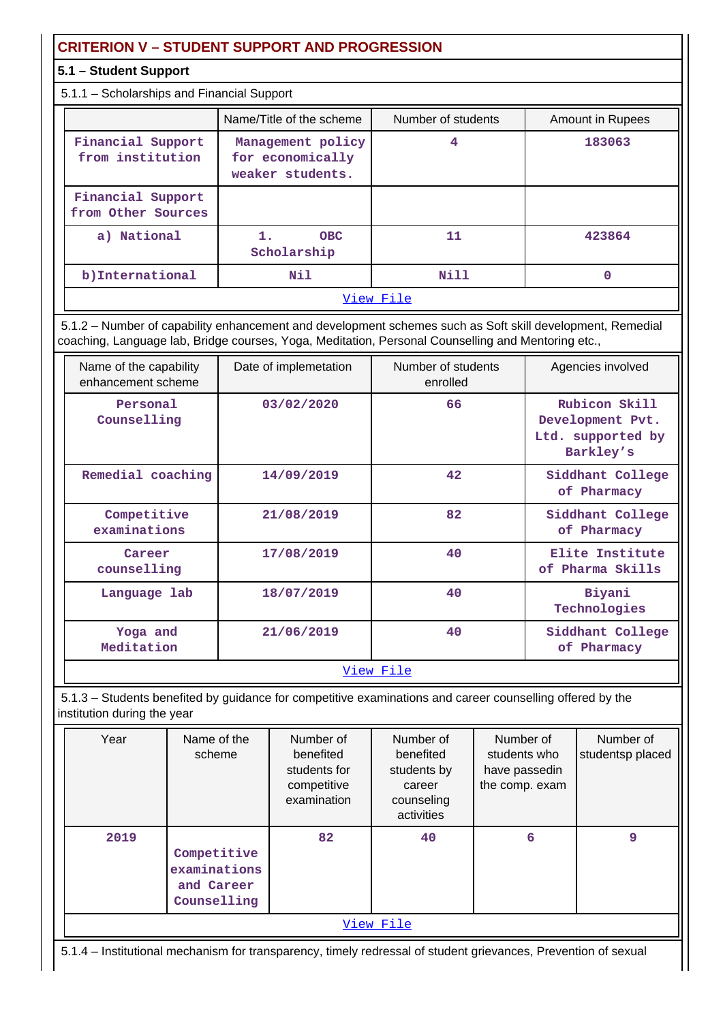# **CRITERION V – STUDENT SUPPORT AND PROGRESSION**

### **5.1 – Student Support**

#### 5.1.1 – Scholarships and Financial Support

|                                         | Name/Title of the scheme                                  | Number of students | Amount in Rupees |  |  |  |  |  |
|-----------------------------------------|-----------------------------------------------------------|--------------------|------------------|--|--|--|--|--|
| Financial Support<br>from institution   | Management policy<br>for economically<br>weaker students. | 4                  | 183063           |  |  |  |  |  |
| Financial Support<br>from Other Sources |                                                           |                    |                  |  |  |  |  |  |
| a) National                             | <b>OBC</b><br>Scholarship                                 | 11                 | 423864           |  |  |  |  |  |
| b) International                        | Nil                                                       | Nill               | 0                |  |  |  |  |  |
|                                         |                                                           | View File          |                  |  |  |  |  |  |

 5.1.2 – Number of capability enhancement and development schemes such as Soft skill development, Remedial coaching, Language lab, Bridge courses, Yoga, Meditation, Personal Counselling and Mentoring etc.,

| Name of the capability<br>enhancement scheme | Date of implemetation | Number of students<br>enrolled | Agencies involved                                                   |
|----------------------------------------------|-----------------------|--------------------------------|---------------------------------------------------------------------|
| Personal<br>Counselling                      | 03/02/2020            | 66                             | Rubicon Skill<br>Development Pvt.<br>Ltd. supported by<br>Barkley's |
| Remedial coaching                            | 14/09/2019            | 42                             | Siddhant College<br>of Pharmacy                                     |
| Competitive<br>examinations                  | 21/08/2019            | 82                             | Siddhant College<br>of Pharmacy                                     |
| Career<br>counselling                        | 17/08/2019            | 40                             | Elite Institute<br>of Pharma Skills                                 |
| Language lab                                 | 18/07/2019            | 40                             | Biyani<br>Technologies                                              |
| Yoga and<br>Meditation                       | 21/06/2019            | 40                             | Siddhant College<br>of Pharmacy                                     |
|                                              | -- -                  | --                             |                                                                     |

#### [View File](https://assessmentonline.naac.gov.in/public/Postacc/Development_Schemes/8555_Development_Schemes_1609668674.xlsx)

 5.1.3 – Students benefited by guidance for competitive examinations and career counselling offered by the institution during the year

| Year | Name of the<br>scheme                                    | Number of<br>benefited<br>students for<br>competitive<br>examination | Number of<br>benefited<br>students by<br>career<br>counseling<br>activities | Number of<br>students who<br>have passedin<br>the comp. exam | Number of<br>studentsp placed |  |  |  |  |  |
|------|----------------------------------------------------------|----------------------------------------------------------------------|-----------------------------------------------------------------------------|--------------------------------------------------------------|-------------------------------|--|--|--|--|--|
| 2019 | Competitive<br>examinations<br>and Career<br>Counselling | 82                                                                   | 40                                                                          | 6                                                            | 9                             |  |  |  |  |  |
|      | View File                                                |                                                                      |                                                                             |                                                              |                               |  |  |  |  |  |

5.1.4 – Institutional mechanism for transparency, timely redressal of student grievances, Prevention of sexual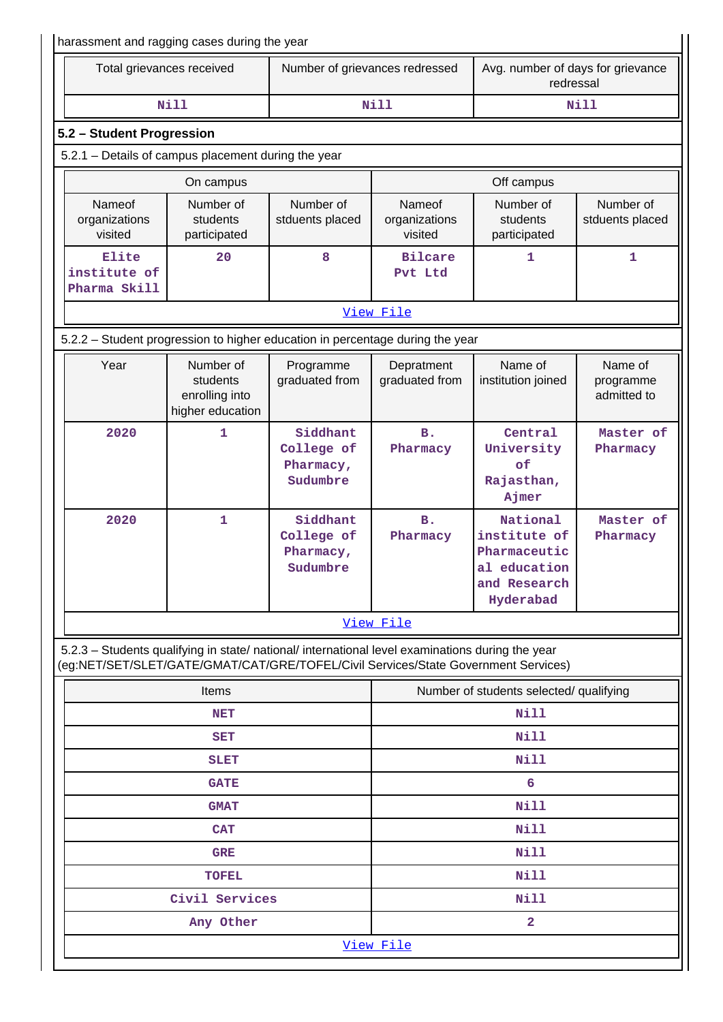| harassment and ragging cases during the year                                                                                                                                           |                                                             |                                                 |                                         |                                                                                       |                                                |  |  |
|----------------------------------------------------------------------------------------------------------------------------------------------------------------------------------------|-------------------------------------------------------------|-------------------------------------------------|-----------------------------------------|---------------------------------------------------------------------------------------|------------------------------------------------|--|--|
| Total grievances received                                                                                                                                                              |                                                             |                                                 | Number of grievances redressed          |                                                                                       | Avg. number of days for grievance<br>redressal |  |  |
|                                                                                                                                                                                        | <b>Nill</b>                                                 |                                                 | Nill<br>Nill                            |                                                                                       |                                                |  |  |
| 5.2 - Student Progression                                                                                                                                                              |                                                             |                                                 |                                         |                                                                                       |                                                |  |  |
| 5.2.1 - Details of campus placement during the year                                                                                                                                    |                                                             |                                                 |                                         |                                                                                       |                                                |  |  |
|                                                                                                                                                                                        | On campus                                                   |                                                 |                                         | Off campus                                                                            |                                                |  |  |
| Nameof<br>organizations<br>visited                                                                                                                                                     | Number of<br>students<br>participated                       | Number of<br>stduents placed                    | Nameof<br>organizations<br>visited      | Number of<br>students<br>participated                                                 | Number of<br>stduents placed                   |  |  |
| Elite<br>institute of<br>Pharma Skill                                                                                                                                                  | 20                                                          | 8                                               | <b>Bilcare</b><br>Pvt Ltd               | 1                                                                                     | 1                                              |  |  |
|                                                                                                                                                                                        |                                                             |                                                 | View File                               |                                                                                       |                                                |  |  |
| 5.2.2 - Student progression to higher education in percentage during the year                                                                                                          |                                                             |                                                 |                                         |                                                                                       |                                                |  |  |
| Year                                                                                                                                                                                   | Number of<br>students<br>enrolling into<br>higher education | Programme<br>graduated from                     | Depratment<br>graduated from            | Name of<br>institution joined                                                         | Name of<br>programme<br>admitted to            |  |  |
| 2020                                                                                                                                                                                   | 1                                                           | Siddhant<br>College of<br>Pharmacy,<br>Sudumbre | <b>B.</b><br>Pharmacy                   | Central<br>University<br>of<br>Rajasthan,<br>Ajmer                                    | Master of<br>Pharmacy                          |  |  |
| 2020                                                                                                                                                                                   | Siddhant<br>1<br>College of<br>Pharmacy,<br>Sudumbre        |                                                 | <b>B.</b><br>Pharmacy                   | National<br>institute of<br>Pharmaceutic<br>al education<br>and Research<br>Hyderabad | Master of<br>Pharmacy                          |  |  |
|                                                                                                                                                                                        |                                                             |                                                 | View File                               |                                                                                       |                                                |  |  |
| 5.2.3 - Students qualifying in state/ national/ international level examinations during the year<br>(eg:NET/SET/SLET/GATE/GMAT/CAT/GRE/TOFEL/Civil Services/State Government Services) |                                                             |                                                 |                                         |                                                                                       |                                                |  |  |
|                                                                                                                                                                                        | Items                                                       |                                                 | Number of students selected/ qualifying |                                                                                       |                                                |  |  |
|                                                                                                                                                                                        | <b>NET</b>                                                  |                                                 | Nill                                    |                                                                                       |                                                |  |  |
|                                                                                                                                                                                        | <b>SET</b>                                                  |                                                 | Nill                                    |                                                                                       |                                                |  |  |
|                                                                                                                                                                                        | SLET                                                        |                                                 | Nill                                    |                                                                                       |                                                |  |  |
|                                                                                                                                                                                        | <b>GATE</b>                                                 |                                                 | 6                                       |                                                                                       |                                                |  |  |
|                                                                                                                                                                                        | <b>GMAT</b>                                                 |                                                 |                                         | Nill                                                                                  |                                                |  |  |
|                                                                                                                                                                                        | <b>CAT</b>                                                  |                                                 |                                         | Nill                                                                                  |                                                |  |  |
|                                                                                                                                                                                        | <b>GRE</b>                                                  |                                                 |                                         | Nill                                                                                  |                                                |  |  |
|                                                                                                                                                                                        | <b>TOFEL</b>                                                |                                                 |                                         | Nill                                                                                  |                                                |  |  |
|                                                                                                                                                                                        | Civil Services                                              |                                                 |                                         | Nill                                                                                  |                                                |  |  |
|                                                                                                                                                                                        | Any Other                                                   |                                                 |                                         | 2                                                                                     |                                                |  |  |
|                                                                                                                                                                                        |                                                             |                                                 | View File                               |                                                                                       |                                                |  |  |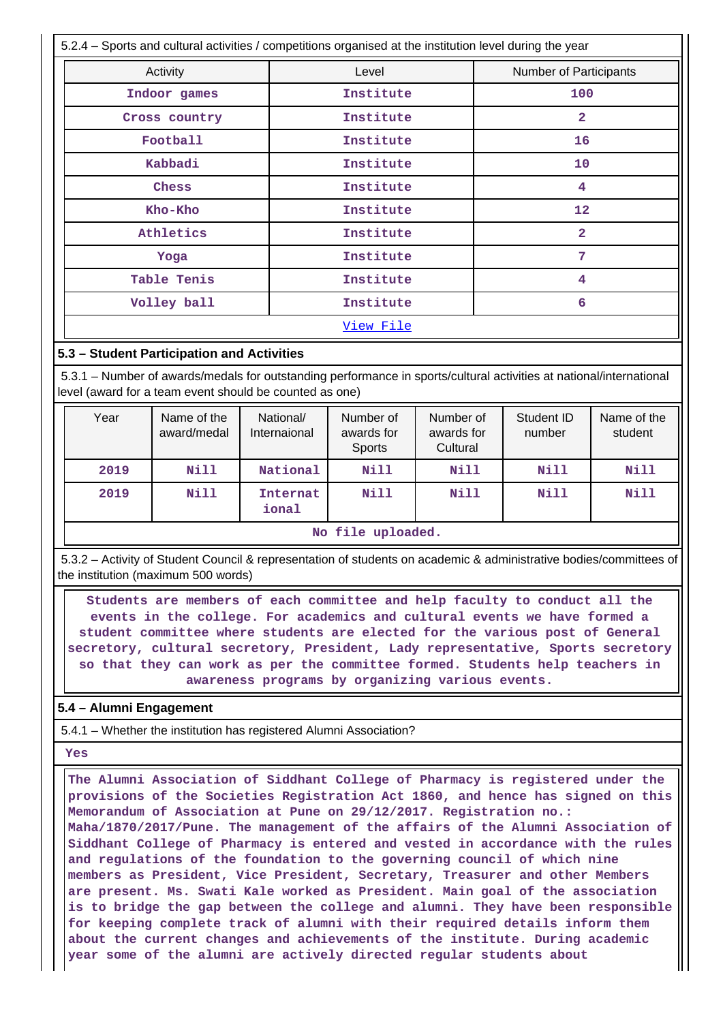5.2.4 – Sports and cultural activities / competitions organised at the institution level during the year Activity **Activity Level** Level **Number of Participants Indoor games 100 institute 100 institute 100 Cross country Cross country Cross country Cross institute 2 Football** 16<br>16  **Kabbadi Institute 10 Chess** 1 1nstitute 1 4  **Kho-Kho Institute 12** Athletics **Institute** 2 **Yoga Institute** 7 Table Tenis **1988** Institute 1  **Volley ball Institute 6** [View File](https://assessmentonline.naac.gov.in/public/Postacc/Activities_Organised/8555_Activities_Organised_1609670558.xlsx)

#### **5.3 – Student Participation and Activities**

 5.3.1 – Number of awards/medals for outstanding performance in sports/cultural activities at national/international level (award for a team event should be counted as one)

| Year | Name of the<br>award/medal | National/<br>Internaional | Number of<br>awards for<br>Sports | Number of<br>awards for<br>Cultural | Student ID<br>number | Name of the<br>student |  |
|------|----------------------------|---------------------------|-----------------------------------|-------------------------------------|----------------------|------------------------|--|
| 2019 | Nill                       | National                  | Nill                              | <b>Nill</b>                         | <b>Nill</b>          | Nill                   |  |
| 2019 | Nill                       | Internat<br>ional         | Nill                              | <b>Nill</b>                         | Nill                 | Nill                   |  |
|      | No file uploaded.          |                           |                                   |                                     |                      |                        |  |

 5.3.2 – Activity of Student Council & representation of students on academic & administrative bodies/committees of the institution (maximum 500 words)

 **Students are members of each committee and help faculty to conduct all the events in the college. For academics and cultural events we have formed a student committee where students are elected for the various post of General secretory, cultural secretory, President, Lady representative, Sports secretory so that they can work as per the committee formed. Students help teachers in awareness programs by organizing various events.**

#### **5.4 – Alumni Engagement**

5.4.1 – Whether the institution has registered Alumni Association?

 **Yes**

 **The Alumni Association of Siddhant College of Pharmacy is registered under the provisions of the Societies Registration Act 1860, and hence has signed on this Memorandum of Association at Pune on 29/12/2017. Registration no.: Maha/1870/2017/Pune. The management of the affairs of the Alumni Association of Siddhant College of Pharmacy is entered and vested in accordance with the rules and regulations of the foundation to the governing council of which nine members as President, Vice President, Secretary, Treasurer and other Members are present. Ms. Swati Kale worked as President. Main goal of the association is to bridge the gap between the college and alumni. They have been responsible for keeping complete track of alumni with their required details inform them about the current changes and achievements of the institute. During academic year some of the alumni are actively directed regular students about**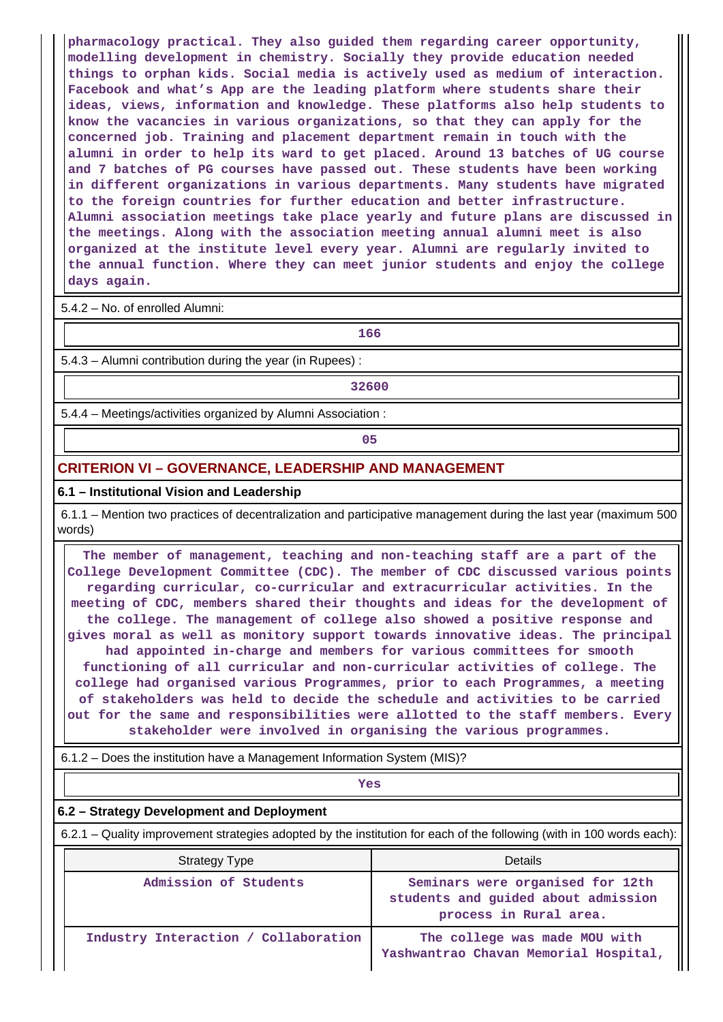**pharmacology practical. They also guided them regarding career opportunity, modelling development in chemistry. Socially they provide education needed things to orphan kids. Social media is actively used as medium of interaction. Facebook and what's App are the leading platform where students share their ideas, views, information and knowledge. These platforms also help students to know the vacancies in various organizations, so that they can apply for the concerned job. Training and placement department remain in touch with the alumni in order to help its ward to get placed. Around 13 batches of UG course and 7 batches of PG courses have passed out. These students have been working in different organizations in various departments. Many students have migrated to the foreign countries for further education and better infrastructure. Alumni association meetings take place yearly and future plans are discussed in the meetings. Along with the association meeting annual alumni meet is also organized at the institute level every year. Alumni are regularly invited to the annual function. Where they can meet junior students and enjoy the college days again.**

5.4.2 – No. of enrolled Alumni:

**166**

5.4.3 – Alumni contribution during the year (in Rupees) :

**1 32600** 

5.4.4 – Meetings/activities organized by Alumni Association :

**05** 

#### **CRITERION VI – GOVERNANCE, LEADERSHIP AND MANAGEMENT**

#### **6.1 – Institutional Vision and Leadership**

 6.1.1 – Mention two practices of decentralization and participative management during the last year (maximum 500 words)

 **The member of management, teaching and non-teaching staff are a part of the College Development Committee (CDC). The member of CDC discussed various points regarding curricular, co-curricular and extracurricular activities. In the meeting of CDC, members shared their thoughts and ideas for the development of the college. The management of college also showed a positive response and gives moral as well as monitory support towards innovative ideas. The principal had appointed in-charge and members for various committees for smooth functioning of all curricular and non-curricular activities of college. The college had organised various Programmes, prior to each Programmes, a meeting of stakeholders was held to decide the schedule and activities to be carried out for the same and responsibilities were allotted to the staff members. Every stakeholder were involved in organising the various programmes.**

6.1.2 – Does the institution have a Management Information System (MIS)?

*Yes* 

#### **6.2 – Strategy Development and Deployment**

6.2.1 – Quality improvement strategies adopted by the institution for each of the following (with in 100 words each):

| Strategy Type                        | Details                                                                                           |
|--------------------------------------|---------------------------------------------------------------------------------------------------|
| Admission of Students                | Seminars were organised for 12th<br>students and guided about admission<br>process in Rural area. |
| Industry Interaction / Collaboration | The college was made MOU with<br>Yashwantrao Chavan Memorial Hospital,                            |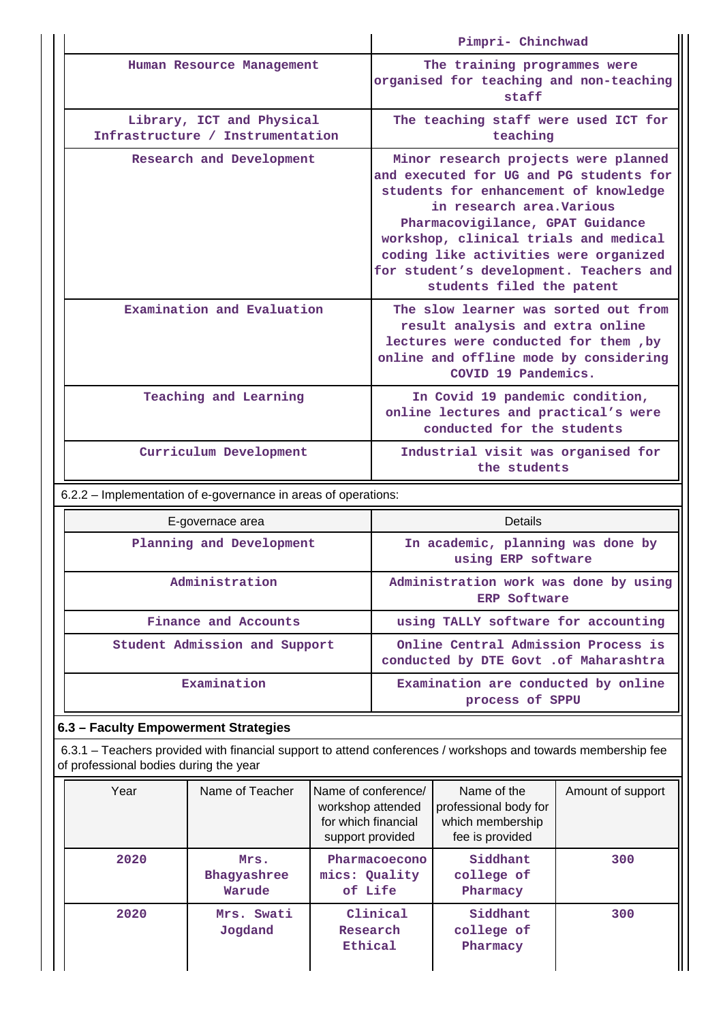|                                                               | Pimpri- Chinchwad                                                                                                                                                                                                                                                                                                                                   |
|---------------------------------------------------------------|-----------------------------------------------------------------------------------------------------------------------------------------------------------------------------------------------------------------------------------------------------------------------------------------------------------------------------------------------------|
| Human Resource Management                                     | The training programmes were<br>organised for teaching and non-teaching<br>staff                                                                                                                                                                                                                                                                    |
| Library, ICT and Physical<br>Infrastructure / Instrumentation | The teaching staff were used ICT for<br>teaching                                                                                                                                                                                                                                                                                                    |
| Research and Development                                      | Minor research projects were planned<br>and executed for UG and PG students for<br>students for enhancement of knowledge<br>in research area. Various<br>Pharmacovigilance, GPAT Guidance<br>workshop, clinical trials and medical<br>coding like activities were organized<br>for student's development. Teachers and<br>students filed the patent |
| Examination and Evaluation                                    | The slow learner was sorted out from<br>result analysis and extra online<br>lectures were conducted for them, by<br>online and offline mode by considering<br>COVID 19 Pandemics.                                                                                                                                                                   |
| Teaching and Learning                                         | In Covid 19 pandemic condition,<br>online lectures and practical's were<br>conducted for the students                                                                                                                                                                                                                                               |
| Curriculum Development                                        | Industrial visit was organised for<br>the students                                                                                                                                                                                                                                                                                                  |

6.2.2 – Implementation of e-governance in areas of operations:

| E-governace area              | <b>Details</b>                                                                |
|-------------------------------|-------------------------------------------------------------------------------|
| Planning and Development      | In academic, planning was done by<br>using ERP software                       |
| Administration                | Administration work was done by using<br><b>ERP Software</b>                  |
| Finance and Accounts          | using TALLY software for accounting                                           |
| Student Admission and Support | Online Central Admission Process is<br>conducted by DTE Govt . of Maharashtra |
| Examination                   | Examination are conducted by online<br>process of SPPU                        |

# **6.3 – Faculty Empowerment Strategies**

 6.3.1 – Teachers provided with financial support to attend conferences / workshops and towards membership fee of professional bodies during the year

| Year | Name of Teacher               | Name of conference/<br>workshop attended<br>for which financial<br>support provided | Name of the<br>professional body for<br>which membership<br>fee is provided | Amount of support |
|------|-------------------------------|-------------------------------------------------------------------------------------|-----------------------------------------------------------------------------|-------------------|
| 2020 | Mrs.<br>Bhaqyashree<br>Warude | Pharmacoecono<br>mics: Quality<br>of Life                                           | Siddhant<br>college of<br>Pharmacy                                          | 300               |
| 2020 | Mrs. Swati<br>Jogdand         | Clinical<br>Research<br>Ethical                                                     | Siddhant<br>college of<br>Pharmacy                                          | 300               |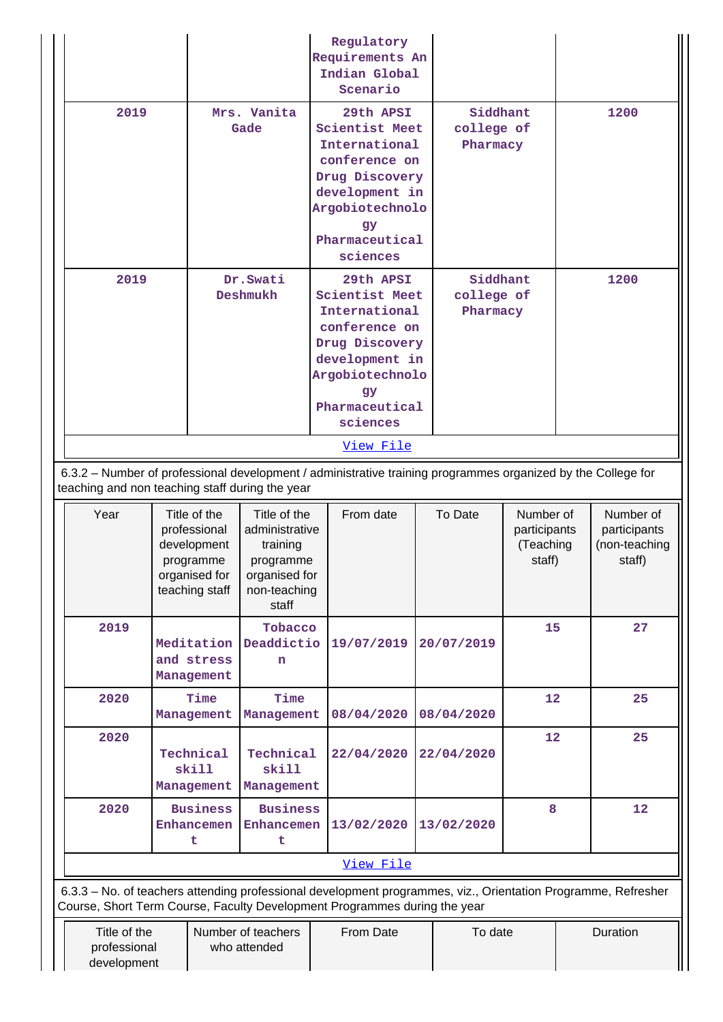|                                                                                                                                                                                                    |                     |                                                                                             |                                                                                                                                                          |  | Regulatory<br>Requirements An<br>Indian Global<br>Scenario                                                                                                      |  |                                    |                                                  |      |                                                      |
|----------------------------------------------------------------------------------------------------------------------------------------------------------------------------------------------------|---------------------|---------------------------------------------------------------------------------------------|----------------------------------------------------------------------------------------------------------------------------------------------------------|--|-----------------------------------------------------------------------------------------------------------------------------------------------------------------|--|------------------------------------|--------------------------------------------------|------|------------------------------------------------------|
| 2019                                                                                                                                                                                               | Mrs. Vanita<br>Gade |                                                                                             | 29th APSI<br>Scientist Meet<br>International<br>conference on<br>Drug Discovery<br>development in<br>Argobiotechnolo<br>gу<br>Pharmaceutical<br>sciences |  | Siddhant<br>college of<br>Pharmacy                                                                                                                              |  | 1200                               |                                                  |      |                                                      |
| 2019                                                                                                                                                                                               |                     |                                                                                             | Dr.Swati<br>Deshmukh                                                                                                                                     |  | 29th APSI<br><b>Scientist Meet</b><br>International<br>conference on<br>Drug Discovery<br>development in<br>Argobiotechnolo<br>gy<br>Pharmaceutical<br>sciences |  | Siddhant<br>college of<br>Pharmacy |                                                  | 1200 |                                                      |
|                                                                                                                                                                                                    |                     |                                                                                             |                                                                                                                                                          |  | View File                                                                                                                                                       |  |                                    |                                                  |      |                                                      |
| 6.3.2 - Number of professional development / administrative training programmes organized by the College for<br>teaching and non teaching staff during the year                                    |                     |                                                                                             |                                                                                                                                                          |  |                                                                                                                                                                 |  |                                    |                                                  |      |                                                      |
| Year                                                                                                                                                                                               |                     | Title of the<br>professional<br>development<br>programme<br>organised for<br>teaching staff | Title of the<br>administrative<br>training<br>programme<br>organised for<br>non-teaching<br>staff                                                        |  | From date                                                                                                                                                       |  | To Date                            | Number of<br>participants<br>(Teaching<br>staff) |      | Number of<br>participants<br>(non-teaching<br>staff) |
| 2019                                                                                                                                                                                               |                     | Meditation<br>and stress<br>Management                                                      | Tobacco<br>Deaddictio<br>n                                                                                                                               |  | 19/07/2019                                                                                                                                                      |  | 20/07/2019                         | 15                                               |      | 27                                                   |
| 2020                                                                                                                                                                                               |                     | Time<br>Management                                                                          | Time<br>Management                                                                                                                                       |  | 08/04/2020                                                                                                                                                      |  | 08/04/2020                         | 12                                               |      | 25                                                   |
| 2020                                                                                                                                                                                               |                     | Technical<br>skill<br>Management                                                            | Technical<br>skill<br>Management                                                                                                                         |  | 22/04/2020                                                                                                                                                      |  | 22/04/2020                         | 12                                               |      | 25                                                   |
| 2020                                                                                                                                                                                               |                     | <b>Business</b><br>Enhancemen<br>t                                                          | <b>Business</b><br>Enhancemen<br>t                                                                                                                       |  | 13/02/2020                                                                                                                                                      |  | 13/02/2020                         | 8                                                |      | 12                                                   |
|                                                                                                                                                                                                    |                     |                                                                                             |                                                                                                                                                          |  | View File                                                                                                                                                       |  |                                    |                                                  |      |                                                      |
| 6.3.3 - No. of teachers attending professional development programmes, viz., Orientation Programme, Refresher                                                                                      |                     |                                                                                             |                                                                                                                                                          |  |                                                                                                                                                                 |  |                                    |                                                  |      |                                                      |
| Course, Short Term Course, Faculty Development Programmes during the year<br>Title of the<br>Number of teachers<br>Duration<br>From Date<br>To date<br>professional<br>who attended<br>development |                     |                                                                                             |                                                                                                                                                          |  |                                                                                                                                                                 |  |                                    |                                                  |      |                                                      |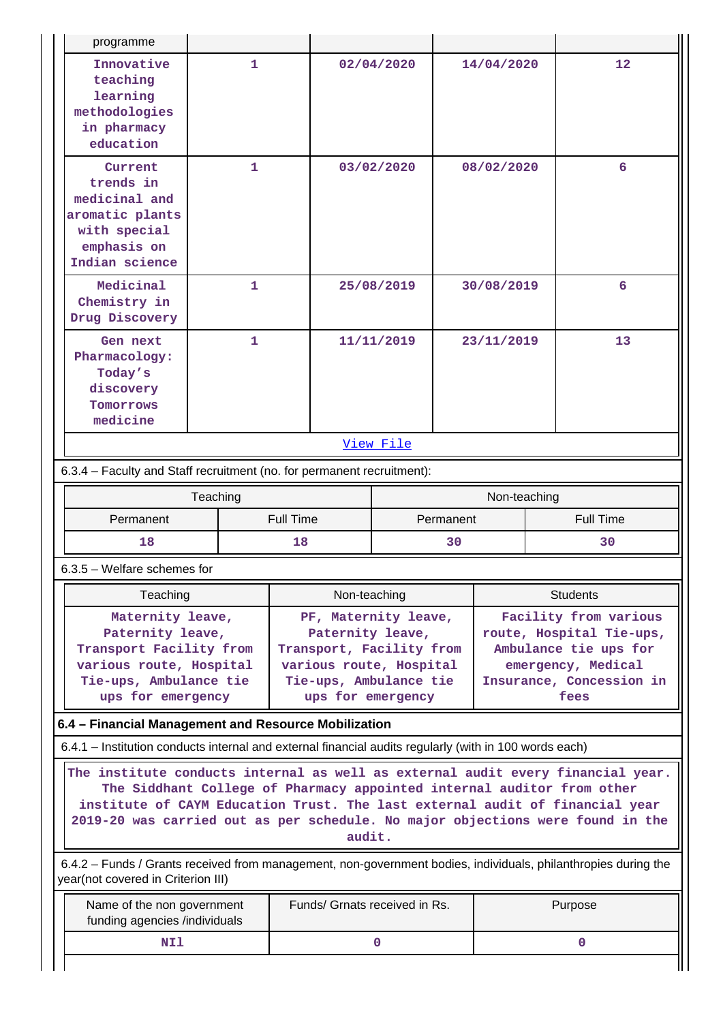| Innovative<br>teaching<br>learning<br>methodologies<br>in pharmacy<br>education                                                                      | 1            |                                                                                                                                                | 02/04/2020   |           | 14/04/2020   | 12                                                                                                                                                                                                                                                                                                                          |
|------------------------------------------------------------------------------------------------------------------------------------------------------|--------------|------------------------------------------------------------------------------------------------------------------------------------------------|--------------|-----------|--------------|-----------------------------------------------------------------------------------------------------------------------------------------------------------------------------------------------------------------------------------------------------------------------------------------------------------------------------|
| Current<br>trends in<br>medicinal and<br>aromatic plants<br>with special<br>emphasis on<br>Indian science                                            | 1            |                                                                                                                                                | 03/02/2020   |           | 08/02/2020   | 6                                                                                                                                                                                                                                                                                                                           |
| Medicinal<br>Chemistry in<br>Drug Discovery                                                                                                          | $\mathbf{1}$ |                                                                                                                                                | 25/08/2019   |           | 30/08/2019   | 6                                                                                                                                                                                                                                                                                                                           |
| Gen next<br>Pharmacology:<br>Today's<br>discovery<br>Tomorrows<br>medicine                                                                           | $\mathbf{1}$ | 11/11/2019                                                                                                                                     |              |           | 23/11/2019   | 13                                                                                                                                                                                                                                                                                                                          |
|                                                                                                                                                      |              |                                                                                                                                                | View File    |           |              |                                                                                                                                                                                                                                                                                                                             |
| 6.3.4 - Faculty and Staff recruitment (no. for permanent recruitment):                                                                               |              |                                                                                                                                                |              |           |              |                                                                                                                                                                                                                                                                                                                             |
|                                                                                                                                                      | Teaching     |                                                                                                                                                |              |           | Non-teaching |                                                                                                                                                                                                                                                                                                                             |
| Permanent                                                                                                                                            |              | <b>Full Time</b>                                                                                                                               |              | Permanent |              | <b>Full Time</b>                                                                                                                                                                                                                                                                                                            |
| 18                                                                                                                                                   |              | 18                                                                                                                                             |              | 30        |              | 30                                                                                                                                                                                                                                                                                                                          |
| $6.3.5$ – Welfare schemes for                                                                                                                        |              |                                                                                                                                                |              |           |              |                                                                                                                                                                                                                                                                                                                             |
| Teaching                                                                                                                                             |              |                                                                                                                                                | Non-teaching |           |              | <b>Students</b>                                                                                                                                                                                                                                                                                                             |
| Maternity leave,<br>Paternity leave,<br>Transport Facility from<br>various route, Hospital<br>Tie-ups, Ambulance tie<br>ups for emergency            |              | PF, Maternity leave,<br>Paternity leave,<br>Transport, Facility from<br>various route, Hospital<br>Tie-ups, Ambulance tie<br>ups for emergency |              |           |              |                                                                                                                                                                                                                                                                                                                             |
|                                                                                                                                                      |              |                                                                                                                                                |              |           |              | Facility from various<br>route, Hospital Tie-ups,<br>Ambulance tie ups for<br>emergency, Medical<br>Insurance, Concession in<br>fees                                                                                                                                                                                        |
| 6.4 - Financial Management and Resource Mobilization                                                                                                 |              |                                                                                                                                                |              |           |              |                                                                                                                                                                                                                                                                                                                             |
| 6.4.1 – Institution conducts internal and external financial audits regularly (with in 100 words each)                                               |              |                                                                                                                                                |              |           |              |                                                                                                                                                                                                                                                                                                                             |
|                                                                                                                                                      |              |                                                                                                                                                | audit.       |           |              | The institute conducts internal as well as external audit every financial year.<br>The Siddhant College of Pharmacy appointed internal auditor from other<br>institute of CAYM Education Trust. The last external audit of financial year<br>2019-20 was carried out as per schedule. No major objections were found in the |
| 6.4.2 - Funds / Grants received from management, non-government bodies, individuals, philanthropies during the<br>year(not covered in Criterion III) |              |                                                                                                                                                |              |           |              |                                                                                                                                                                                                                                                                                                                             |
| Name of the non government<br>funding agencies /individuals                                                                                          |              | Funds/ Grnats received in Rs.                                                                                                                  |              |           |              | Purpose                                                                                                                                                                                                                                                                                                                     |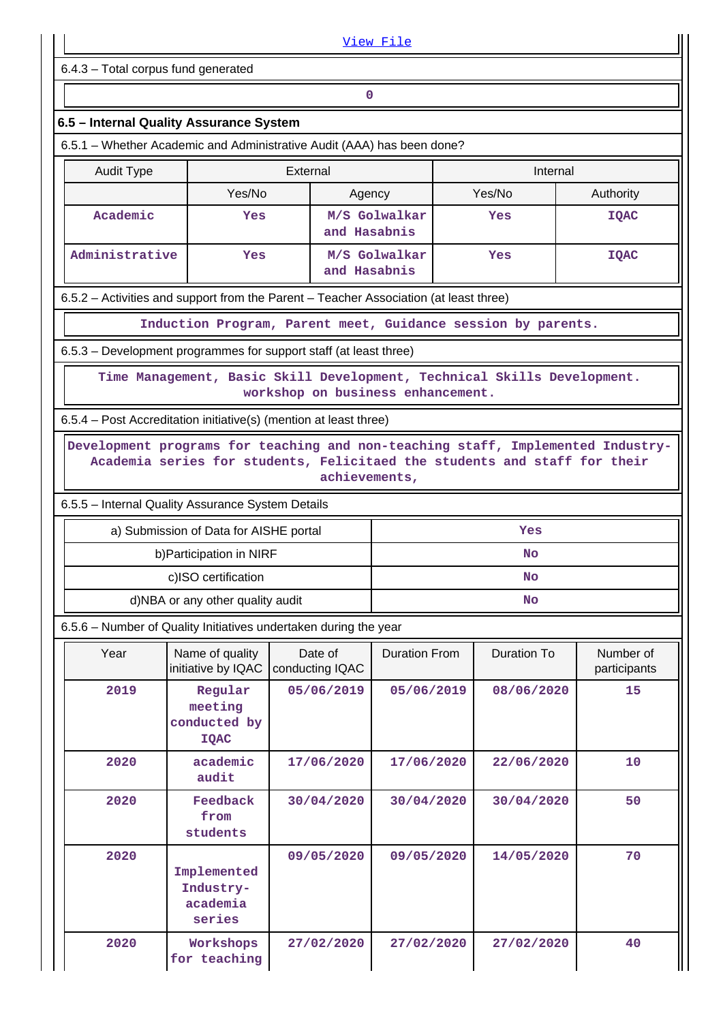|                                     |                                                                                                                                                              |                                   | View File            |  |                    |                           |
|-------------------------------------|--------------------------------------------------------------------------------------------------------------------------------------------------------------|-----------------------------------|----------------------|--|--------------------|---------------------------|
| 6.4.3 - Total corpus fund generated |                                                                                                                                                              |                                   |                      |  |                    |                           |
|                                     |                                                                                                                                                              | 0                                 |                      |  |                    |                           |
|                                     | 6.5 - Internal Quality Assurance System                                                                                                                      |                                   |                      |  |                    |                           |
|                                     | 6.5.1 – Whether Academic and Administrative Audit (AAA) has been done?                                                                                       |                                   |                      |  |                    |                           |
| <b>Audit Type</b>                   |                                                                                                                                                              | External                          |                      |  | Internal           |                           |
|                                     | Yes/No                                                                                                                                                       | Agency                            |                      |  | Yes/No             | Authority                 |
| Academic                            | Yes                                                                                                                                                          | and Hasabnis                      | M/S Golwalkar        |  | Yes                | <b>IQAC</b>               |
| Administrative                      | Yes                                                                                                                                                          | and Hasabnis                      | M/S Golwalkar        |  | Yes                | <b>IQAC</b>               |
|                                     | 6.5.2 - Activities and support from the Parent - Teacher Association (at least three)                                                                        |                                   |                      |  |                    |                           |
|                                     | Induction Program, Parent meet, Guidance session by parents.                                                                                                 |                                   |                      |  |                    |                           |
|                                     | 6.5.3 - Development programmes for support staff (at least three)                                                                                            |                                   |                      |  |                    |                           |
|                                     | Time Management, Basic Skill Development, Technical Skills Development.                                                                                      |                                   |                      |  |                    |                           |
|                                     |                                                                                                                                                              | workshop on business enhancement. |                      |  |                    |                           |
|                                     | 6.5.4 – Post Accreditation initiative(s) (mention at least three)                                                                                            |                                   |                      |  |                    |                           |
|                                     | Development programs for teaching and non-teaching staff, Implemented Industry-<br>Academia series for students, Felicitaed the students and staff for their | achievements,                     |                      |  |                    |                           |
|                                     | 6.5.5 - Internal Quality Assurance System Details                                                                                                            |                                   |                      |  |                    |                           |
|                                     | a) Submission of Data for AISHE portal                                                                                                                       |                                   | Yes                  |  |                    |                           |
|                                     | b) Participation in NIRF                                                                                                                                     |                                   | No                   |  |                    |                           |
|                                     | c)ISO certification                                                                                                                                          |                                   | <b>No</b>            |  |                    |                           |
|                                     | d)NBA or any other quality audit<br>6.5.6 - Number of Quality Initiatives undertaken during the year                                                         |                                   |                      |  | <b>No</b>          |                           |
| Year                                | Name of quality<br>initiative by IQAC                                                                                                                        | Date of<br>conducting IQAC        | <b>Duration From</b> |  | <b>Duration To</b> | Number of<br>participants |
| 2019                                | Regular<br>meeting<br>conducted by<br><b>IQAC</b>                                                                                                            | 05/06/2019                        | 05/06/2019           |  | 08/06/2020         | 15                        |
| 2020                                | academic<br>audit                                                                                                                                            | 17/06/2020                        | 17/06/2020           |  | 22/06/2020         | 10                        |
| 2020                                | Feedback<br>from<br>students                                                                                                                                 | 30/04/2020                        | 30/04/2020           |  | 30/04/2020         | 50                        |
| 2020                                | Implemented<br>Industry-<br>academia<br>series                                                                                                               | 09/05/2020                        | 09/05/2020           |  | 14/05/2020         | 70                        |
| 2020                                | Workshops<br>for teaching                                                                                                                                    | 27/02/2020                        | 27/02/2020           |  | 27/02/2020         | 40                        |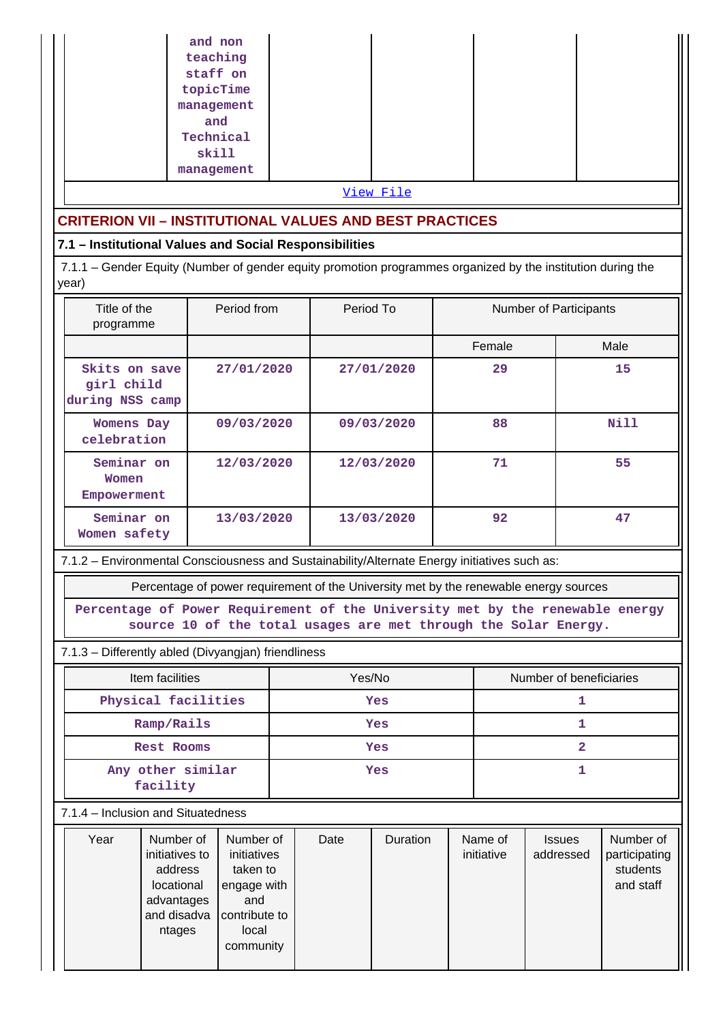| and non                                                        |  |  |  |  |  |
|----------------------------------------------------------------|--|--|--|--|--|
| teaching                                                       |  |  |  |  |  |
| staff on                                                       |  |  |  |  |  |
| topicTime                                                      |  |  |  |  |  |
| management                                                     |  |  |  |  |  |
| and                                                            |  |  |  |  |  |
| Technical                                                      |  |  |  |  |  |
| skill                                                          |  |  |  |  |  |
| management                                                     |  |  |  |  |  |
| View File                                                      |  |  |  |  |  |
| <b>CRITERION VII - INSTITUTIONAL VALUES AND BEST PRACTICES</b> |  |  |  |  |  |

#### **7.1 – Institutional Values and Social Responsibilities**

 7.1.1 – Gender Equity (Number of gender equity promotion programmes organized by the institution during the year)

| Title of the<br>programme                                                                    | Period from | Period To  | <b>Number of Participants</b> |      |  |
|----------------------------------------------------------------------------------------------|-------------|------------|-------------------------------|------|--|
|                                                                                              |             |            | Female                        | Male |  |
| Skits on save<br>girl child<br>during NSS camp                                               | 27/01/2020  | 27/01/2020 | 29                            | 15   |  |
| Womens Day<br>celebration                                                                    | 09/03/2020  | 09/03/2020 | 88                            | Nill |  |
| Seminar on<br>Women<br>Empowerment                                                           | 12/03/2020  | 12/03/2020 | 71                            | 55   |  |
| Seminar on<br>Women safety                                                                   | 13/03/2020  | 13/03/2020 | 92                            | 47   |  |
| 7.1.2 – Environmental Consciousness and Sustainability/Alternate Energy initiatives such as: |             |            |                               |      |  |

Percentage of power requirement of the University met by the renewable energy sources

**Percentage of Power Requirement of the University met by the renewable energy source 10 of the total usages are met through the Solar Energy.**

7.1.3 – Differently abled (Divyangjan) friendliness

| Item facilities               | Yes/No | Number of beneficiaries |
|-------------------------------|--------|-------------------------|
| Physical facilities           | Yes    |                         |
| Ramp/Rails                    | Yes    |                         |
| Rest Rooms                    | Yes    |                         |
| Any other similar<br>facility | Yes    |                         |

7.1.4 – Inclusion and Situatedness

| Year | Number of<br>initiatives to<br>address<br>locational<br>advantages<br>and disadva<br>ntages | Number of<br>initiatives<br>taken to<br>engage with<br>and<br>contribute to<br>local<br>community | Date | Duration | Name of<br>initiative | <b>Issues</b><br>addressed | Number of<br>participating<br>students<br>and staff |
|------|---------------------------------------------------------------------------------------------|---------------------------------------------------------------------------------------------------|------|----------|-----------------------|----------------------------|-----------------------------------------------------|
|      |                                                                                             |                                                                                                   |      |          |                       |                            |                                                     |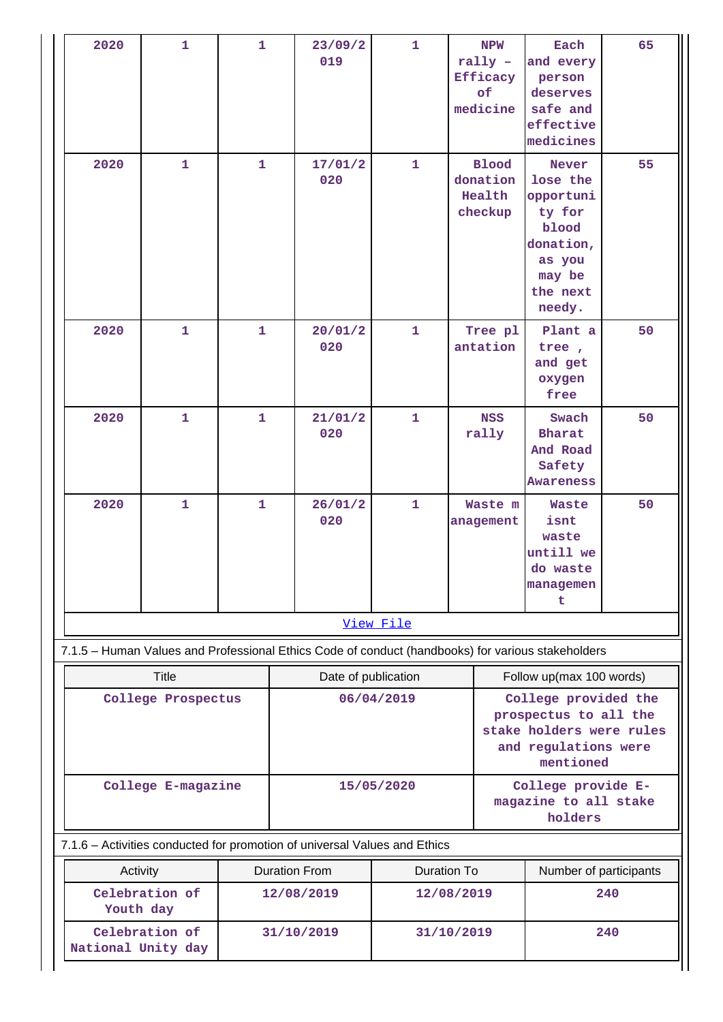| 2020                                                                      | $\mathbf{1}$                                                                                      | $\mathbf{1}$                      |                                    | $\mathbf{1}$<br>23/09/2<br>019<br>rally $-$<br>Efficacy<br>of |                                  | <b>NPW</b><br>medicine | Each<br>and every<br>person<br>deserves<br>safe and<br>effective<br>medicines                                                              | 65                                                                                                              |     |  |  |
|---------------------------------------------------------------------------|---------------------------------------------------------------------------------------------------|-----------------------------------|------------------------------------|---------------------------------------------------------------|----------------------------------|------------------------|--------------------------------------------------------------------------------------------------------------------------------------------|-----------------------------------------------------------------------------------------------------------------|-----|--|--|
| 2020                                                                      | 1                                                                                                 | $\mathbf{1}$<br>$\mathbf{1}$<br>1 |                                    | 17/01/2<br>020                                                | $\mathbf{1}$                     |                        | <b>Blood</b><br>donation<br>Health<br>checkup                                                                                              | <b>Never</b><br>lose the<br>opportuni<br>ty for<br>blood<br>donation,<br>as you<br>may be<br>the next<br>needy. | 55  |  |  |
| 2020                                                                      |                                                                                                   |                                   |                                    | 20/01/2<br>020                                                | $\mathbf{1}$                     |                        | Tree pl<br>antation                                                                                                                        | Plant a<br>tree,<br>and get<br>oxygen<br>free                                                                   | 50  |  |  |
| 2020                                                                      | 1                                                                                                 | $\mathbf{1}$                      |                                    | 21/01/2<br>020                                                | $\mathbf{1}$                     |                        | <b>NSS</b><br>rally                                                                                                                        | Swach<br><b>Bharat</b><br>And Road<br>Safety<br><b>Awareness</b>                                                | 50  |  |  |
| 2020                                                                      | 1                                                                                                 | $\mathbf{1}$                      |                                    | 26/01/2<br>020                                                | $\mathbf{1}$                     |                        | Waste m<br>anagement                                                                                                                       | Waste<br>isnt<br>waste<br>untill we<br>do waste<br>managemen<br>t                                               | 50  |  |  |
|                                                                           |                                                                                                   |                                   |                                    |                                                               | View File                        |                        |                                                                                                                                            |                                                                                                                 |     |  |  |
|                                                                           | 7.1.5 - Human Values and Professional Ethics Code of conduct (handbooks) for various stakeholders |                                   |                                    |                                                               |                                  |                        |                                                                                                                                            |                                                                                                                 |     |  |  |
| <b>Title</b><br>College Prospectus                                        |                                                                                                   |                                   |                                    | Date of publication<br>06/04/2019                             |                                  |                        | Follow up(max 100 words)<br>College provided the<br>prospectus to all the<br>stake holders were rules<br>and regulations were<br>mentioned |                                                                                                                 |     |  |  |
| College E-magazine                                                        |                                                                                                   |                                   |                                    | 15/05/2020                                                    |                                  |                        | College provide E-<br>magazine to all stake<br>holders                                                                                     |                                                                                                                 |     |  |  |
| 7.1.6 - Activities conducted for promotion of universal Values and Ethics |                                                                                                   |                                   |                                    |                                                               |                                  |                        |                                                                                                                                            |                                                                                                                 |     |  |  |
| Activity<br>Celebration of<br>Youth day                                   |                                                                                                   |                                   | <b>Duration From</b><br>12/08/2019 |                                                               | <b>Duration To</b><br>12/08/2019 |                        |                                                                                                                                            | Number of participants<br>240                                                                                   |     |  |  |
| Celebration of<br>National Unity day                                      |                                                                                                   |                                   |                                    | 31/10/2019<br>31/10/2019                                      |                                  |                        |                                                                                                                                            |                                                                                                                 | 240 |  |  |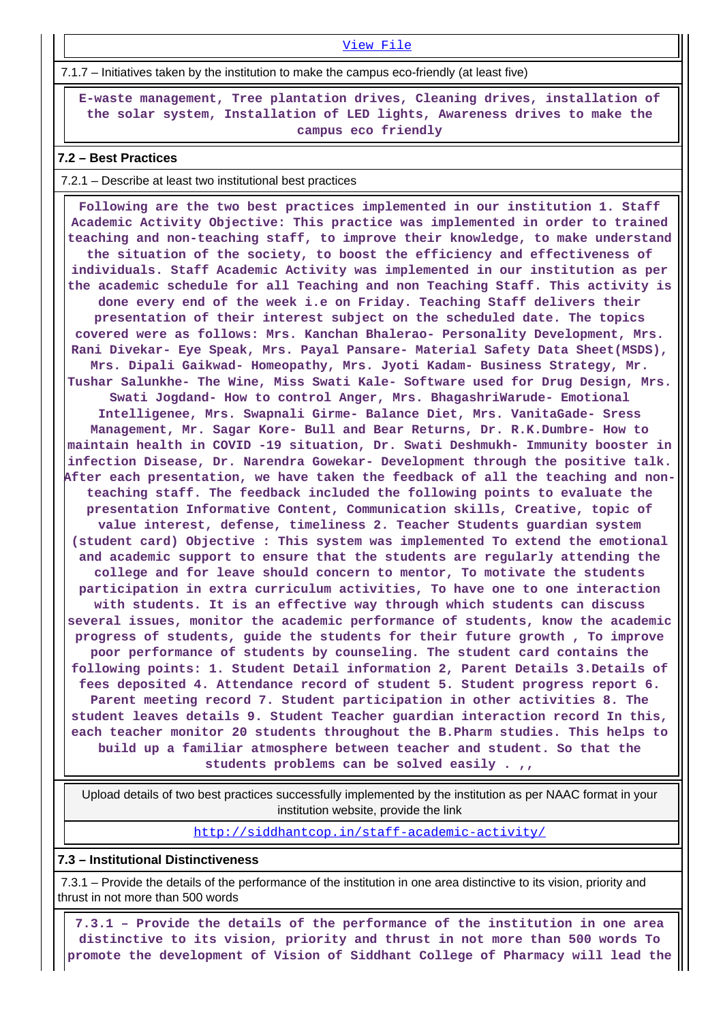[View File](https://assessmentonline.naac.gov.in/public/Postacc/promotion_activities/8555_promotion_activities_1609149573.xlsx)

7.1.7 – Initiatives taken by the institution to make the campus eco-friendly (at least five)

 **E-waste management, Tree plantation drives, Cleaning drives, installation of the solar system, Installation of LED lights, Awareness drives to make the campus eco friendly**

#### **7.2 – Best Practices**

7.2.1 – Describe at least two institutional best practices

 **Following are the two best practices implemented in our institution 1. Staff Academic Activity Objective: This practice was implemented in order to trained teaching and non-teaching staff, to improve their knowledge, to make understand the situation of the society, to boost the efficiency and effectiveness of individuals. Staff Academic Activity was implemented in our institution as per the academic schedule for all Teaching and non Teaching Staff. This activity is done every end of the week i.e on Friday. Teaching Staff delivers their presentation of their interest subject on the scheduled date. The topics covered were as follows: Mrs. Kanchan Bhalerao- Personality Development, Mrs. Rani Divekar- Eye Speak, Mrs. Payal Pansare- Material Safety Data Sheet(MSDS), Mrs. Dipali Gaikwad- Homeopathy, Mrs. Jyoti Kadam- Business Strategy, Mr. Tushar Salunkhe- The Wine, Miss Swati Kale- Software used for Drug Design, Mrs. Swati Jogdand- How to control Anger, Mrs. BhagashriWarude- Emotional Intelligenee, Mrs. Swapnali Girme- Balance Diet, Mrs. VanitaGade- Sress Management, Mr. Sagar Kore- Bull and Bear Returns, Dr. R.K.Dumbre- How to maintain health in COVID -19 situation, Dr. Swati Deshmukh- Immunity booster in infection Disease, Dr. Narendra Gowekar- Development through the positive talk. After each presentation, we have taken the feedback of all the teaching and nonteaching staff. The feedback included the following points to evaluate the presentation Informative Content, Communication skills, Creative, topic of value interest, defense, timeliness 2. Teacher Students guardian system (student card) Objective : This system was implemented To extend the emotional and academic support to ensure that the students are regularly attending the college and for leave should concern to mentor, To motivate the students participation in extra curriculum activities, To have one to one interaction with students. It is an effective way through which students can discuss several issues, monitor the academic performance of students, know the academic progress of students, guide the students for their future growth , To improve poor performance of students by counseling. The student card contains the following points: 1. Student Detail information 2, Parent Details 3.Details of fees deposited 4. Attendance record of student 5. Student progress report 6. Parent meeting record 7. Student participation in other activities 8. The student leaves details 9. Student Teacher guardian interaction record In this, each teacher monitor 20 students throughout the B.Pharm studies. This helps to build up a familiar atmosphere between teacher and student. So that the students problems can be solved easily . ,,**

 Upload details of two best practices successfully implemented by the institution as per NAAC format in your institution website, provide the link

<http://siddhantcop.in/staff-academic-activity/>

#### **7.3 – Institutional Distinctiveness**

 7.3.1 – Provide the details of the performance of the institution in one area distinctive to its vision, priority and thrust in not more than 500 words

 **7.3.1 – Provide the details of the performance of the institution in one area distinctive to its vision, priority and thrust in not more than 500 words To promote the development of Vision of Siddhant College of Pharmacy will lead the**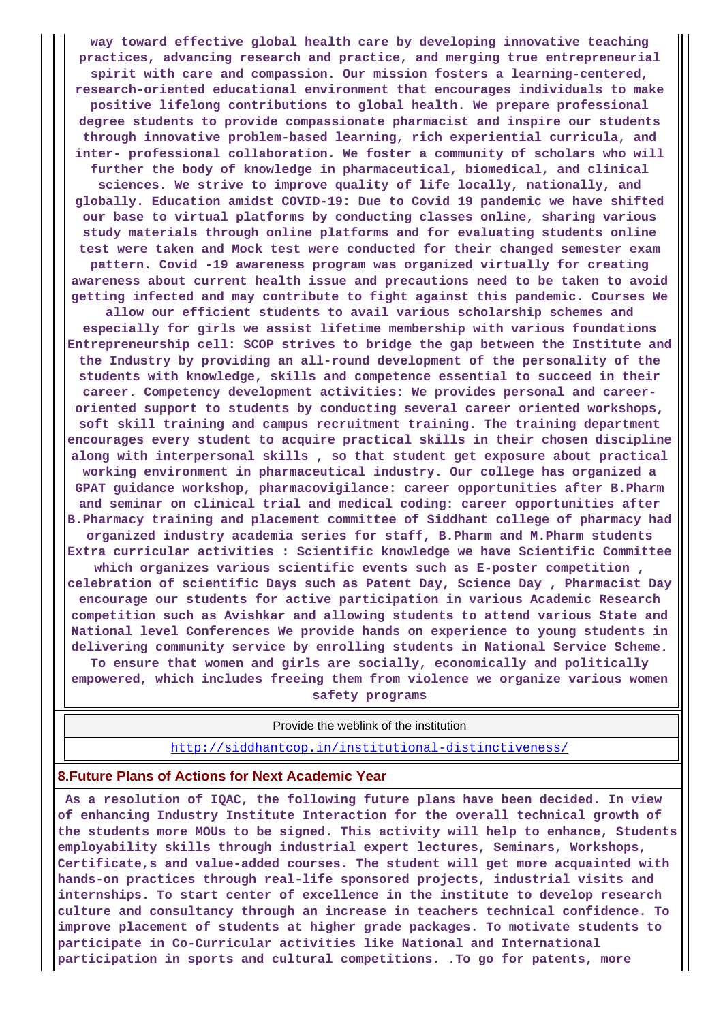**way toward effective global health care by developing innovative teaching practices, advancing research and practice, and merging true entrepreneurial spirit with care and compassion. Our mission fosters a learning-centered, research-oriented educational environment that encourages individuals to make positive lifelong contributions to global health. We prepare professional degree students to provide compassionate pharmacist and inspire our students through innovative problem-based learning, rich experiential curricula, and inter- professional collaboration. We foster a community of scholars who will further the body of knowledge in pharmaceutical, biomedical, and clinical sciences. We strive to improve quality of life locally, nationally, and globally. Education amidst COVID-19: Due to Covid 19 pandemic we have shifted our base to virtual platforms by conducting classes online, sharing various study materials through online platforms and for evaluating students online test were taken and Mock test were conducted for their changed semester exam pattern. Covid -19 awareness program was organized virtually for creating awareness about current health issue and precautions need to be taken to avoid getting infected and may contribute to fight against this pandemic. Courses We allow our efficient students to avail various scholarship schemes and**

**especially for girls we assist lifetime membership with various foundations Entrepreneurship cell: SCOP strives to bridge the gap between the Institute and the Industry by providing an all-round development of the personality of the students with knowledge, skills and competence essential to succeed in their career. Competency development activities: We provides personal and careeroriented support to students by conducting several career oriented workshops, soft skill training and campus recruitment training. The training department encourages every student to acquire practical skills in their chosen discipline along with interpersonal skills , so that student get exposure about practical working environment in pharmaceutical industry. Our college has organized a GPAT guidance workshop, pharmacovigilance: career opportunities after B.Pharm and seminar on clinical trial and medical coding: career opportunities after B.Pharmacy training and placement committee of Siddhant college of pharmacy had organized industry academia series for staff, B.Pharm and M.Pharm students Extra curricular activities : Scientific knowledge we have Scientific Committee**

**which organizes various scientific events such as E-poster competition , celebration of scientific Days such as Patent Day, Science Day , Pharmacist Day encourage our students for active participation in various Academic Research competition such as Avishkar and allowing students to attend various State and National level Conferences We provide hands on experience to young students in delivering community service by enrolling students in National Service Scheme. To ensure that women and girls are socially, economically and politically empowered, which includes freeing them from violence we organize various women**

**safety programs**

Provide the weblink of the institution

<http://siddhantcop.in/institutional-distinctiveness/>

#### **8.Future Plans of Actions for Next Academic Year**

 **As a resolution of IQAC, the following future plans have been decided. In view of enhancing Industry Institute Interaction for the overall technical growth of the students more MOUs to be signed. This activity will help to enhance, Students employability skills through industrial expert lectures, Seminars, Workshops, Certificate,s and value-added courses. The student will get more acquainted with hands-on practices through real-life sponsored projects, industrial visits and internships. To start center of excellence in the institute to develop research culture and consultancy through an increase in teachers technical confidence. To improve placement of students at higher grade packages. To motivate students to participate in Co-Curricular activities like National and International participation in sports and cultural competitions. .To go for patents, more**